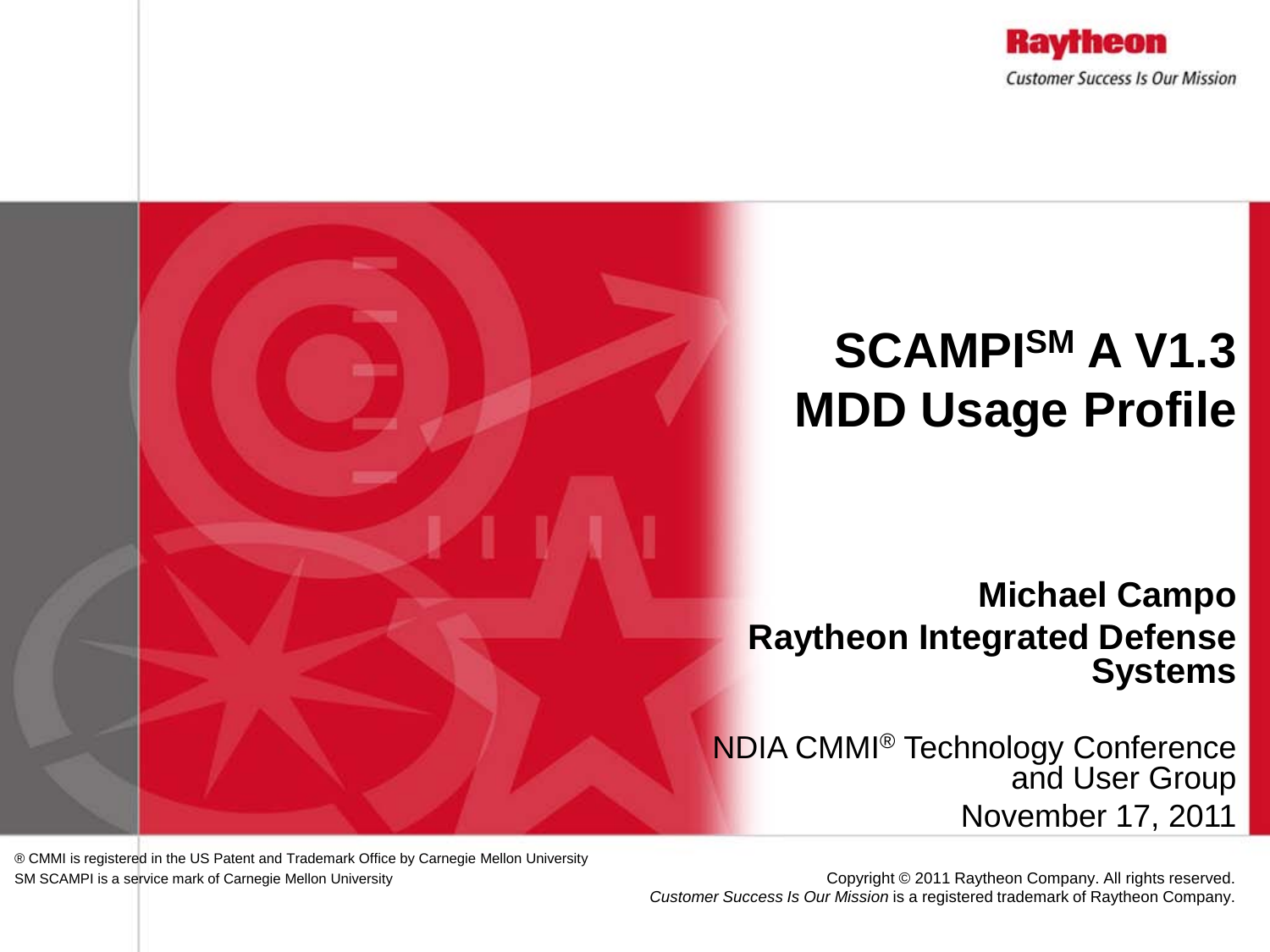

# **SCAMPISM A V1.3 MDD Usage Profile**

#### **Michael Campo Raytheon Integrated Defense Systems**

NDIA CMMI® Technology Conference and User Group November 17, 2011

® CMMI is registered in the US Patent and Trademark Office by Carnegie Mellon University SM SCAMPI is a service mark of Carnegie Mellon University

Copyright © 2011 Raytheon Company. All rights reserved. *Customer Success Is Our Mission* is a registered trademark of Raytheon Company.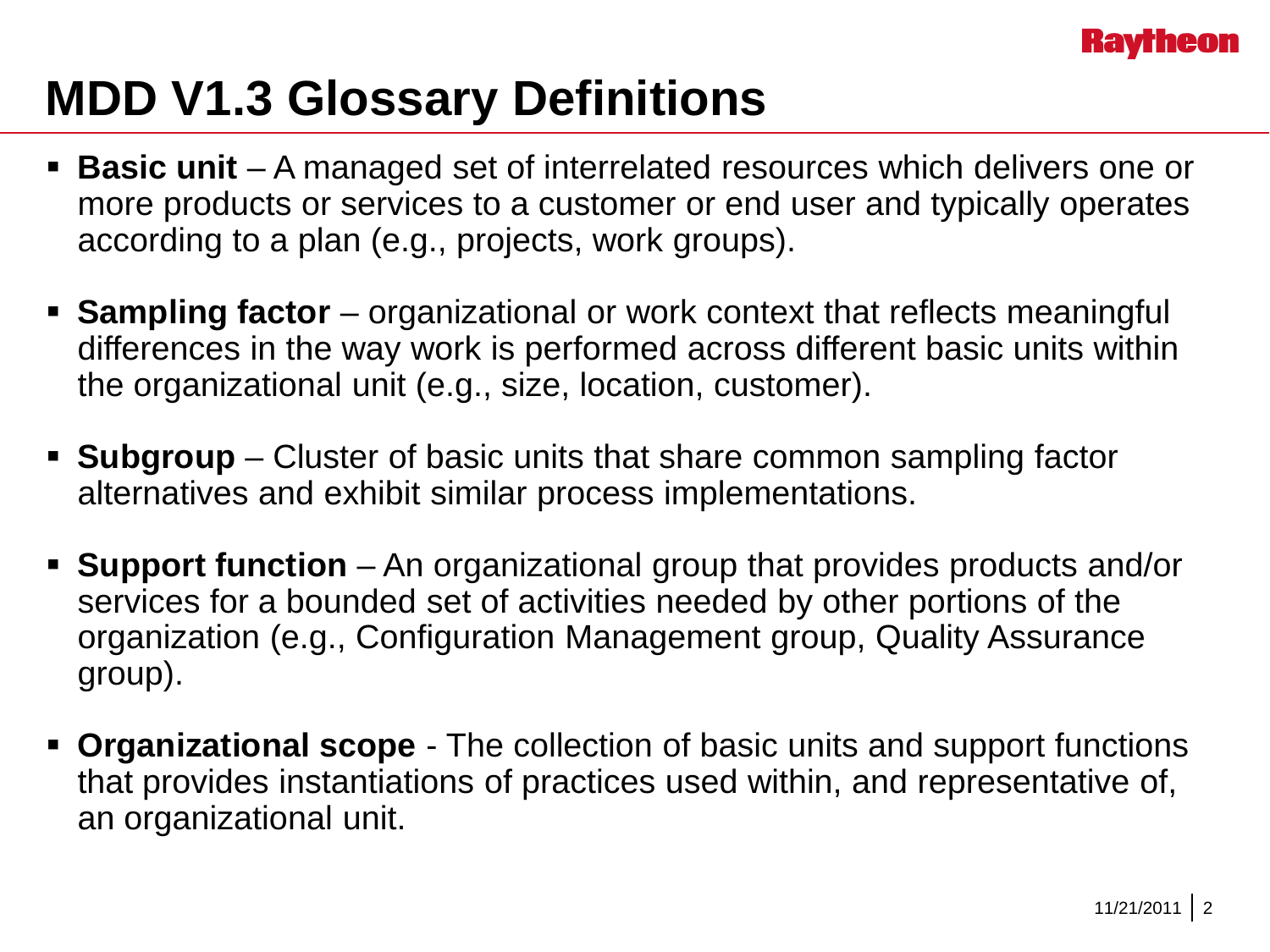

### **MDD V1.3 Glossary Definitions**

- **Basic unit**  A managed set of interrelated resources which delivers one or more products or services to a customer or end user and typically operates according to a plan (e.g., projects, work groups).
- **Sampling factor** organizational or work context that reflects meaningful differences in the way work is performed across different basic units within the organizational unit (e.g., size, location, customer).
- **Subgroup** Cluster of basic units that share common sampling factor alternatives and exhibit similar process implementations.
- **Support function**  An organizational group that provides products and/or services for a bounded set of activities needed by other portions of the organization (e.g., Configuration Management group, Quality Assurance group).
- **Organizational scope**  The collection of basic units and support functions that provides instantiations of practices used within, and representative of, an organizational unit.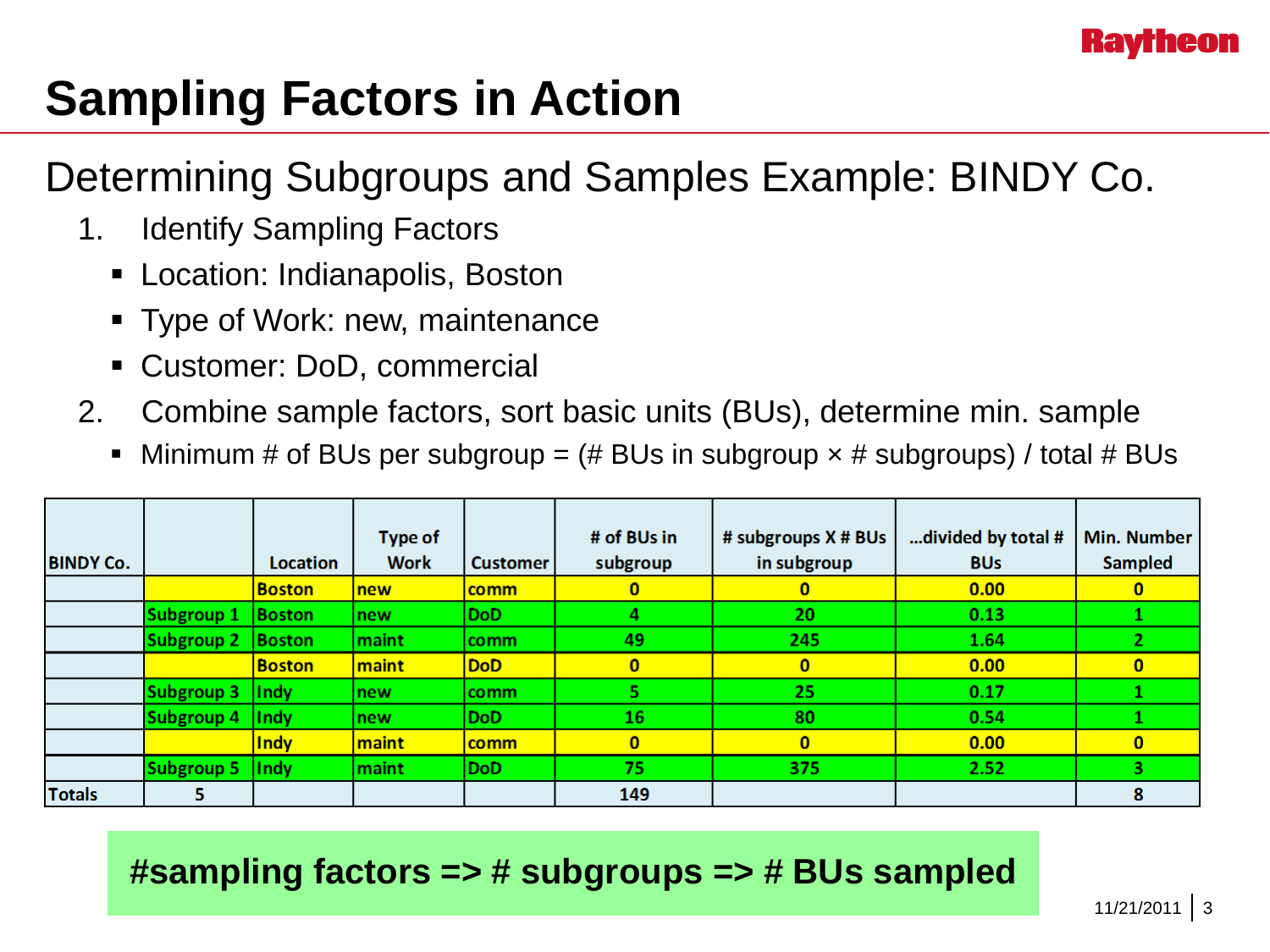

## **Sampling Factors in Action**

#### Determining Subgroups and Samples Example: BINDY Co.

- 1. Identify Sampling Factors
	- Location: Indianapolis, Boston
	- **Type of Work: new, maintenance**
	- Customer: DoD, commercial
- 2. Combine sample factors, sort basic units (BUs), determine min. sample
	- Minimum # of BUs per subgroup =  $#$  BUs in subgroup  $\times$  # subgroups) / total # BUs

|                  |                   |                    | Type of     |                 | # of BUs in  | # subgroups X # BUs | divided by total # | <b>Min. Number</b> |
|------------------|-------------------|--------------------|-------------|-----------------|--------------|---------------------|--------------------|--------------------|
| <b>BINDY Co.</b> |                   | <b>Location</b>    | <b>Work</b> | <b>Customer</b> | subgroup     | in subgroup         | <b>BUs</b>         | <b>Sampled</b>     |
|                  |                   | <b>Boston</b>      | new         | comm            | $\bf{0}$     | 0                   | 0.00               | $\bf{0}$           |
|                  | Subgroup 1        | <b>Boston</b>      | new         | <b>DoD</b>      | 4            | 20                  | 0.13               |                    |
|                  | Subgroup 2        | <b>Boston</b>      | maint       | comm            | 49           | 245                 | 1.64               |                    |
|                  |                   | <b>Boston</b>      | maint       | <b>DoD</b>      | $\mathbf{0}$ | $\mathbf{0}$        | 0.00               | $\bf{0}$           |
|                  | <b>Subgroup 3</b> | $\vert \vert$ Indy | new         | comm            |              | 25                  | 0.17               |                    |
|                  | Subgroup 4        | <b>Indy</b>        | new         | <b>DoD</b>      | 16           | 80                  | 0.54               |                    |
|                  |                   | Indy               | maint       | <b>comm</b>     | $\mathbf{0}$ | $\mathbf{0}$        | 0.00               | $\bf{0}$           |
|                  | Subgroup 5        | <b>Indy</b>        | maint       | <b>DoD</b>      | 75           | 375                 | 2.52               |                    |
| <b>Totals</b>    | 5                 |                    |             |                 | 149          |                     |                    | 8                  |

#### **#sampling factors => # subgroups => # BUs sampled**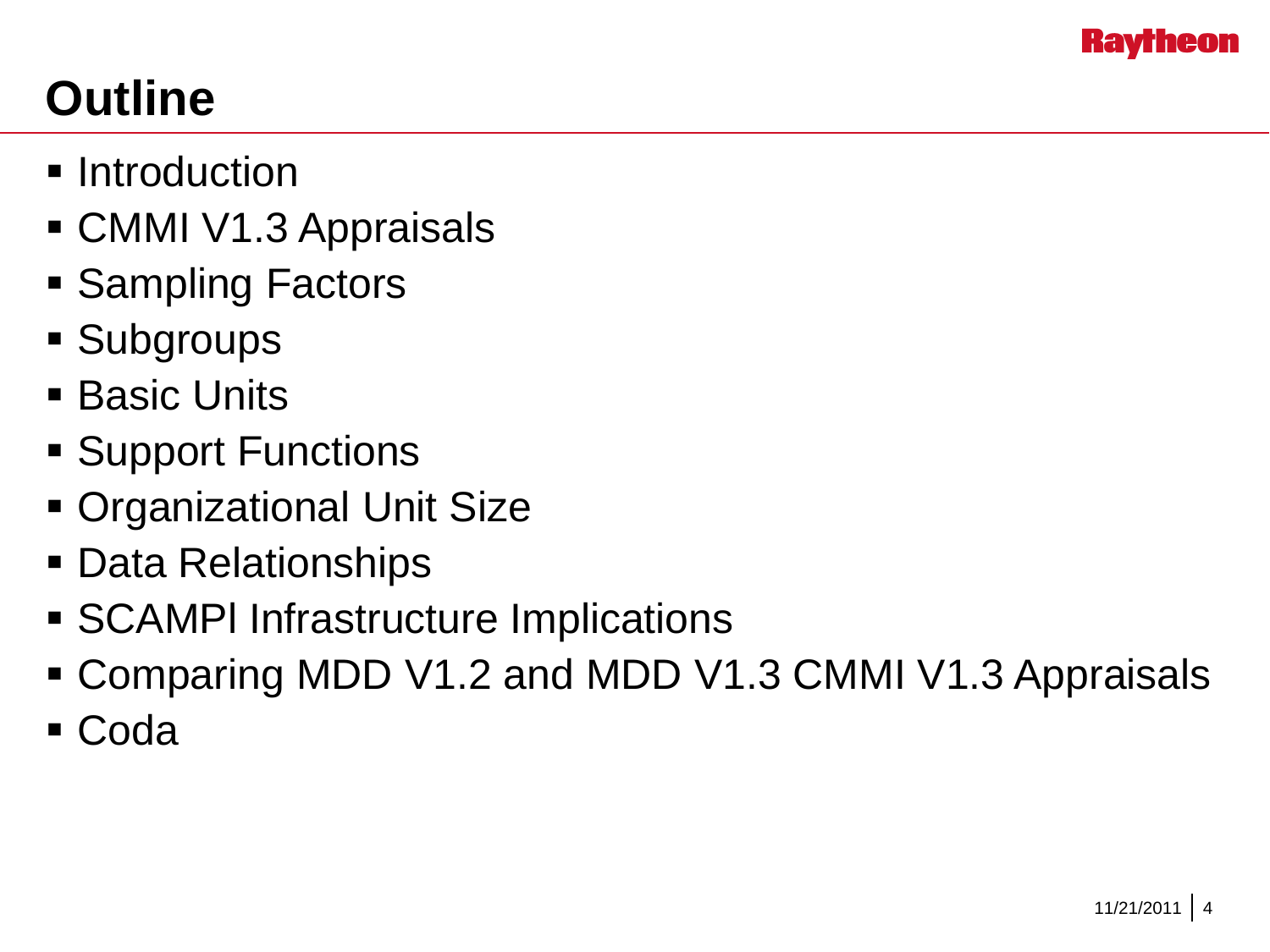

# **Outline**

- **Introduction**
- CMMI V1.3 Appraisals
- **Sampling Factors**
- **Subgroups**
- **Basic Units**
- **Support Functions**
- Organizational Unit Size
- Data Relationships
- SCAMPl Infrastructure Implications
- Comparing MDD V1.2 and MDD V1.3 CMMI V1.3 Appraisals
- Coda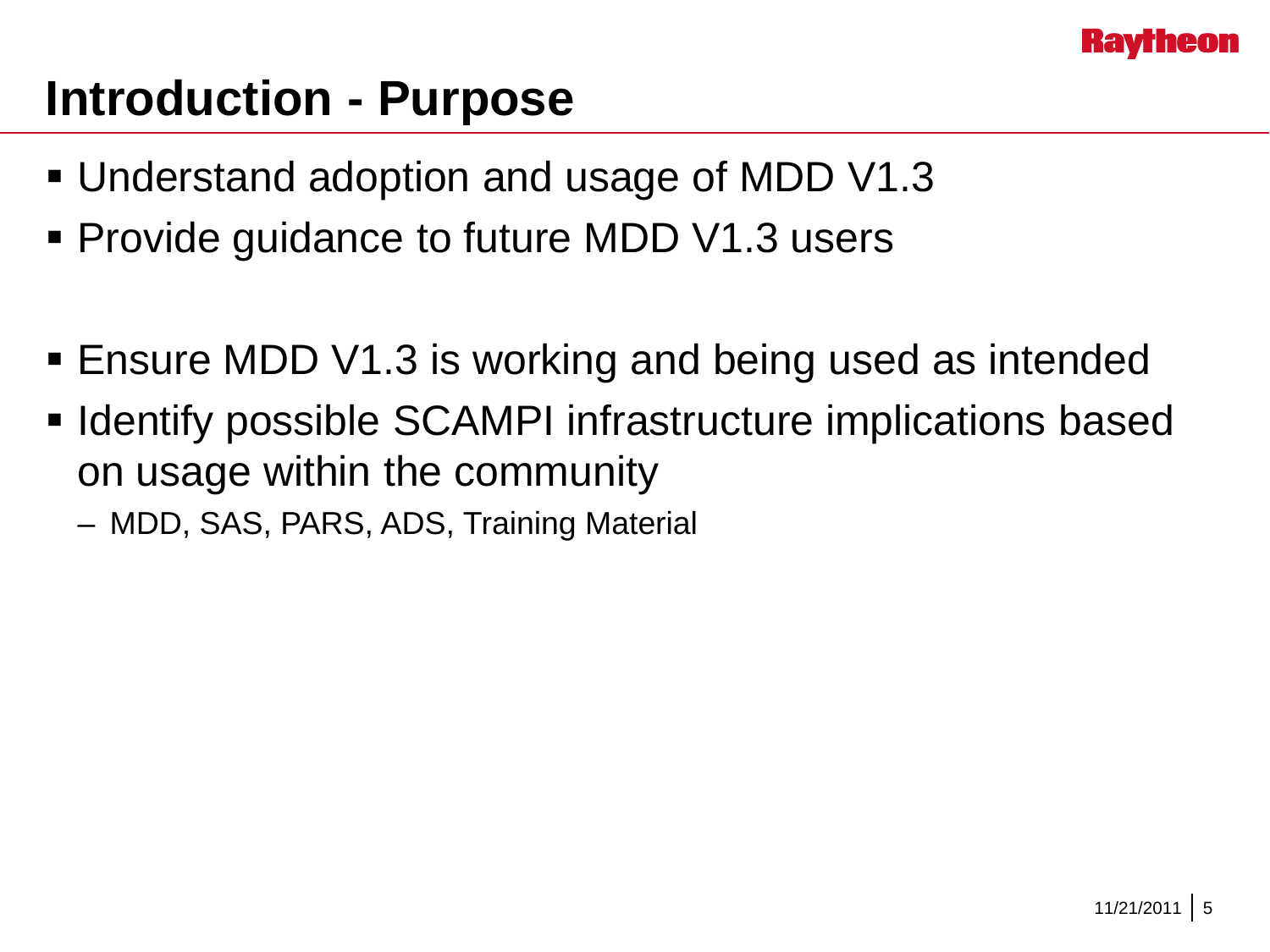

### **Introduction - Purpose**

- Understand adoption and usage of MDD V1.3
- **Provide guidance to future MDD V1.3 users**
- Ensure MDD V1.3 is working and being used as intended
- **IDENTIFY FORESO IN STRIP I** infrastructure implications based on usage within the community
	- MDD, SAS, PARS, ADS, Training Material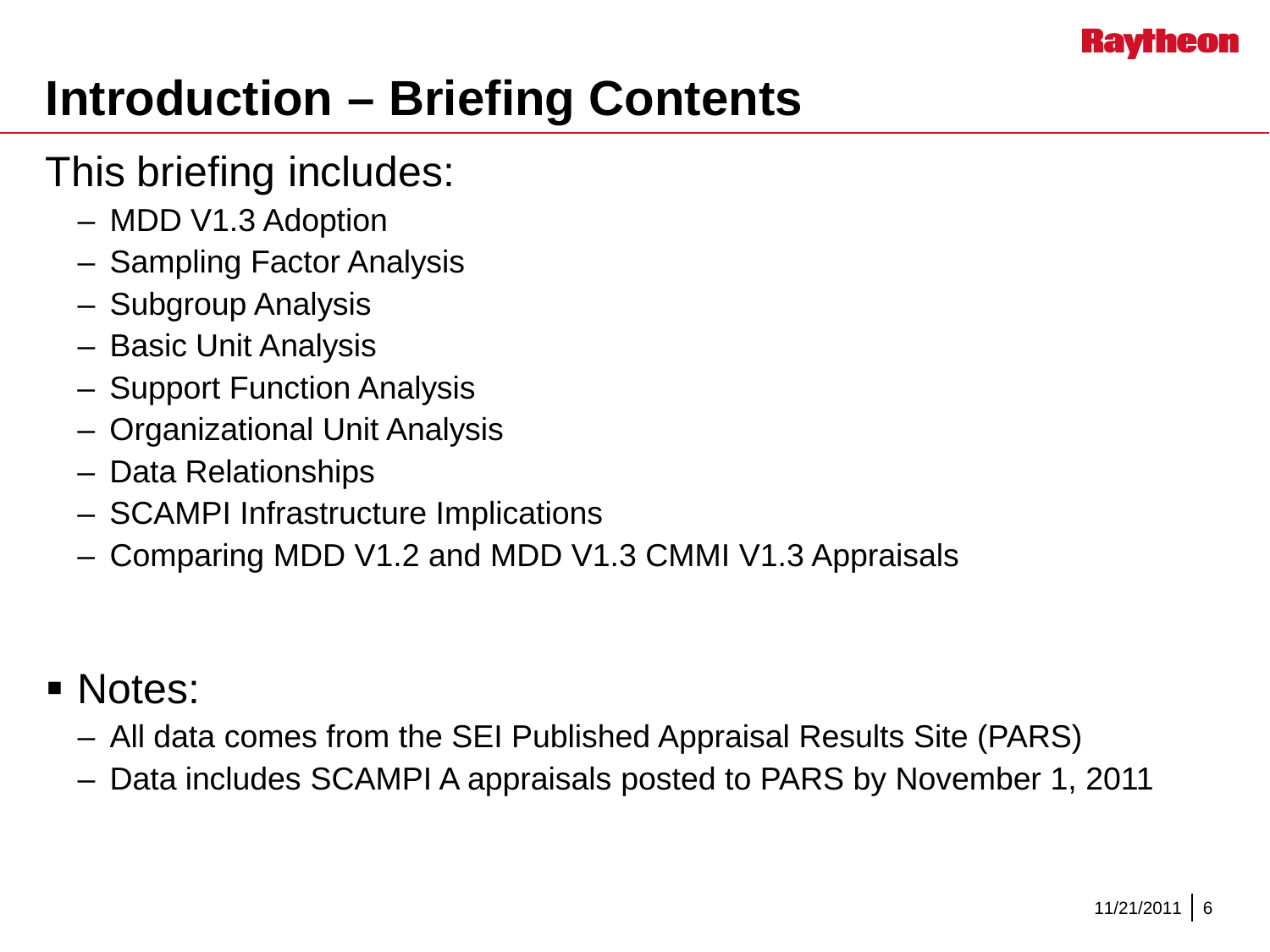

# **Introduction – Briefing Contents**

#### This briefing includes:

- MDD V1.3 Adoption
- Sampling Factor Analysis
- Subgroup Analysis
- Basic Unit Analysis
- Support Function Analysis
- Organizational Unit Analysis
- Data Relationships
- SCAMPI Infrastructure Implications
- Comparing MDD V1.2 and MDD V1.3 CMMI V1.3 Appraisals

#### Notes:

- All data comes from the SEI Published Appraisal Results Site (PARS)
- Data includes SCAMPI A appraisals posted to PARS by November 1, 2011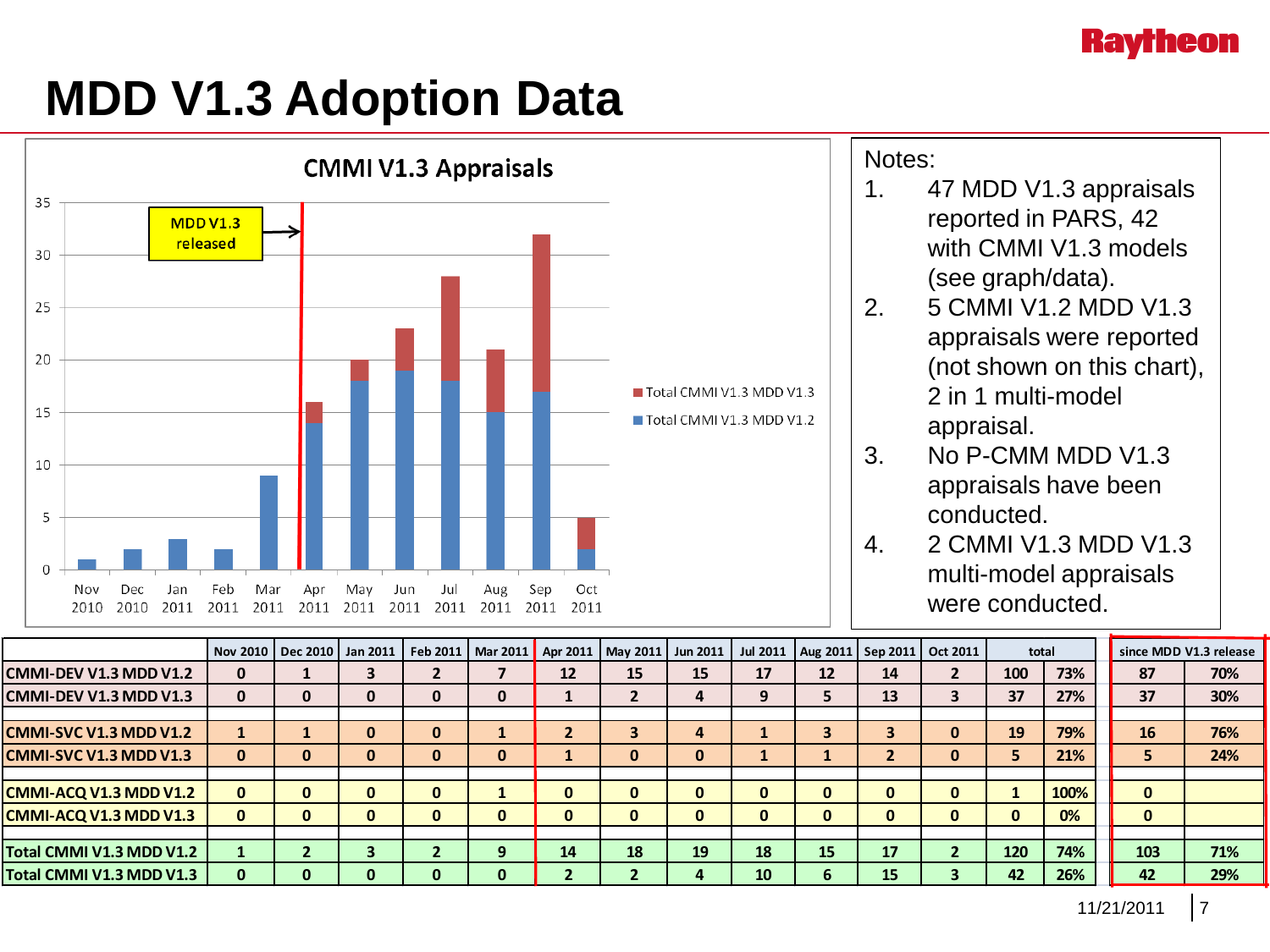#### **Raytheon**

### **MDD V1.3 Adoption Data**



|                               |              | Nov 2010   Dec 2010   Jan 2011 |          | Feb 2011   Mar 2011 |   |    | Apr 2011   May 2011 | Jun 2011 | <b>Jul 2011</b> | Aug 2011   Sep 2011 |    | Oct 2011     | total        |      |              | since MDD V1.3 release |
|-------------------------------|--------------|--------------------------------|----------|---------------------|---|----|---------------------|----------|-----------------|---------------------|----|--------------|--------------|------|--------------|------------------------|
| CMMI-DEV V1.3 MDD V1.2        | 0            |                                |          |                     |   | 12 | 15                  | 15       | 17              | 12                  | 14 |              | 100          | 73%  | 87           | 70%                    |
| CMMI-DEV V1.3 MDD V1.3        | 0            | 0                              | 0        |                     | 0 |    |                     | 4        |                 | 5                   | 13 |              | 37           | 27%  | 37           | 30%                    |
|                               |              |                                |          |                     |   |    |                     |          |                 |                     |    |              |              |      |              |                        |
| <b>CMMI-SVC V1.3 MDD V1.2</b> |              |                                | $\bf{0}$ | υ                   |   |    |                     |          |                 | 3                   | 3  | $\mathbf{0}$ | 19           | 79%  | 16           | 76%                    |
| <b>CMMI-SVC V1.3 MDD V1.3</b> | 0            | 0                              | 0        |                     | 0 |    |                     | 0        |                 |                     | 2  | 0            |              | 21%  | 5.           | 24%                    |
|                               |              |                                |          |                     |   |    |                     |          |                 |                     |    |              |              |      |              |                        |
| <b>CMMI-ACQ V1.3 MDD V1.2</b> | 0            | 0                              | o        |                     |   | O  |                     |          |                 | 0                   | 0  | $\mathbf{0}$ |              | 100% | $\mathbf{0}$ |                        |
| <b>CMMI-ACQ V1.3 MDD V1.3</b> | $\mathbf{0}$ | 0                              | 0        |                     | 0 |    |                     |          |                 | $\bf{0}$            | 0  | $\mathbf{0}$ | <sup>0</sup> | 0%   | $\mathbf{0}$ |                        |
|                               |              |                                |          |                     |   |    |                     |          |                 |                     |    |              |              |      |              |                        |
| Total CMMI V1.3 MDD V1.2      |              |                                |          |                     |   | 14 | 18                  | 19       | 18              | 15                  | 17 |              | 120          | 74%  | 103          | 71%                    |
| Total CMMI V1.3 MDD V1.3      | 0            |                                | O        |                     |   |    |                     |          | 10              | 6                   | 15 |              | 42           | 26%  | 42           | 29%                    |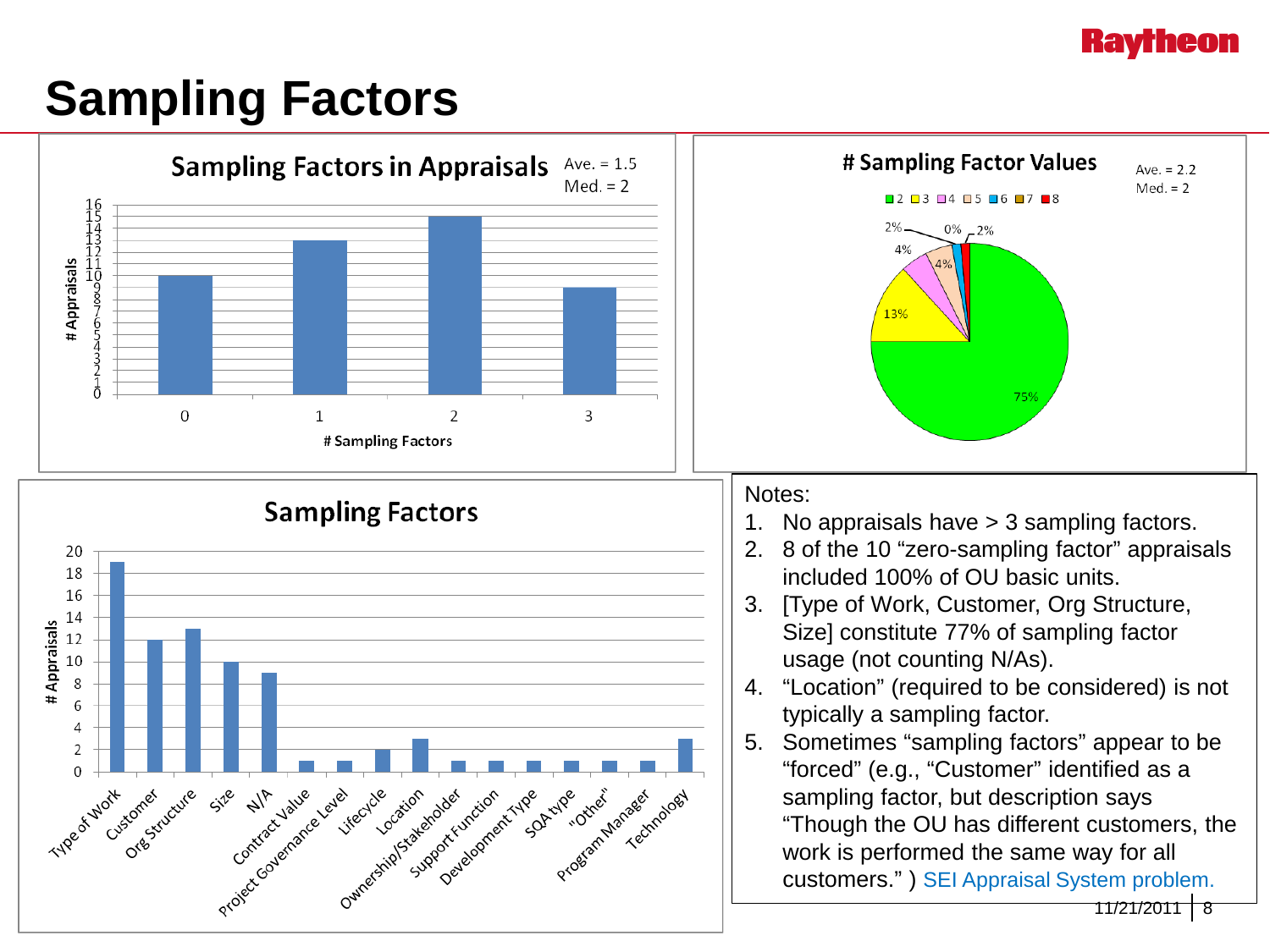#### **Kavrheon**

## **Sampling Factors**

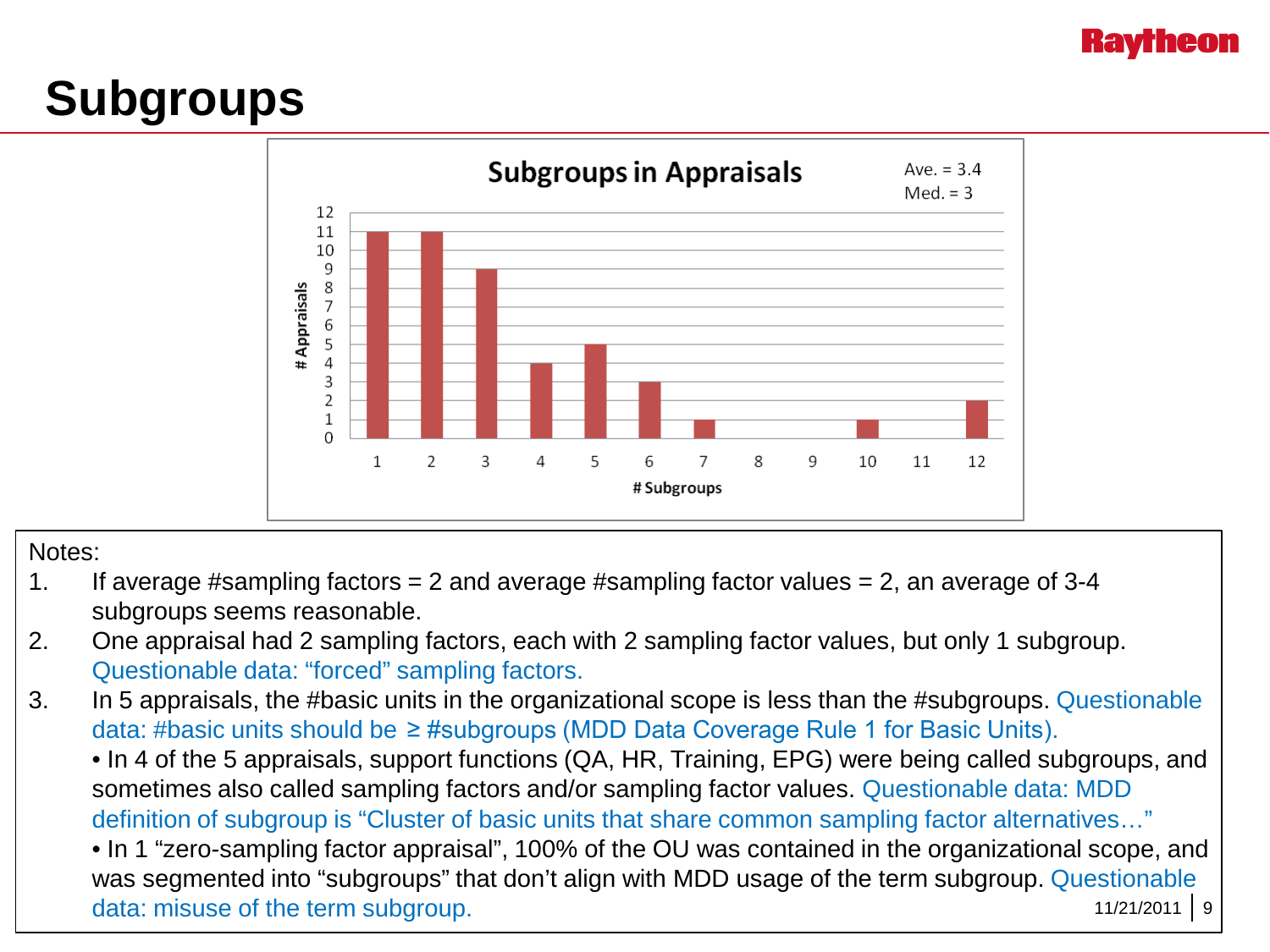# **Subgroups**



#### Notes:

- 1. If average #sampling factors  $= 2$  and average #sampling factor values  $= 2$ , an average of 3-4 subgroups seems reasonable.
- 2. One appraisal had 2 sampling factors, each with 2 sampling factor values, but only 1 subgroup. Questionable data: "forced" sampling factors.
- 3. In 5 appraisals, the #basic units in the organizational scope is less than the #subgroups. Questionable data: #basic units should be ≥ #subgroups (MDD Data Coverage Rule 1 for Basic Units).

• In 4 of the 5 appraisals, support functions (QA, HR, Training, EPG) were being called subgroups, and sometimes also called sampling factors and/or sampling factor values. Questionable data: MDD definition of subgroup is "Cluster of basic units that share common sampling factor alternatives…"

 $11/21/2011$  9 • In 1 "zero-sampling factor appraisal", 100% of the OU was contained in the organizational scope, and was segmented into "subgroups" that don't align with MDD usage of the term subgroup. Questionable data: misuse of the term subgroup.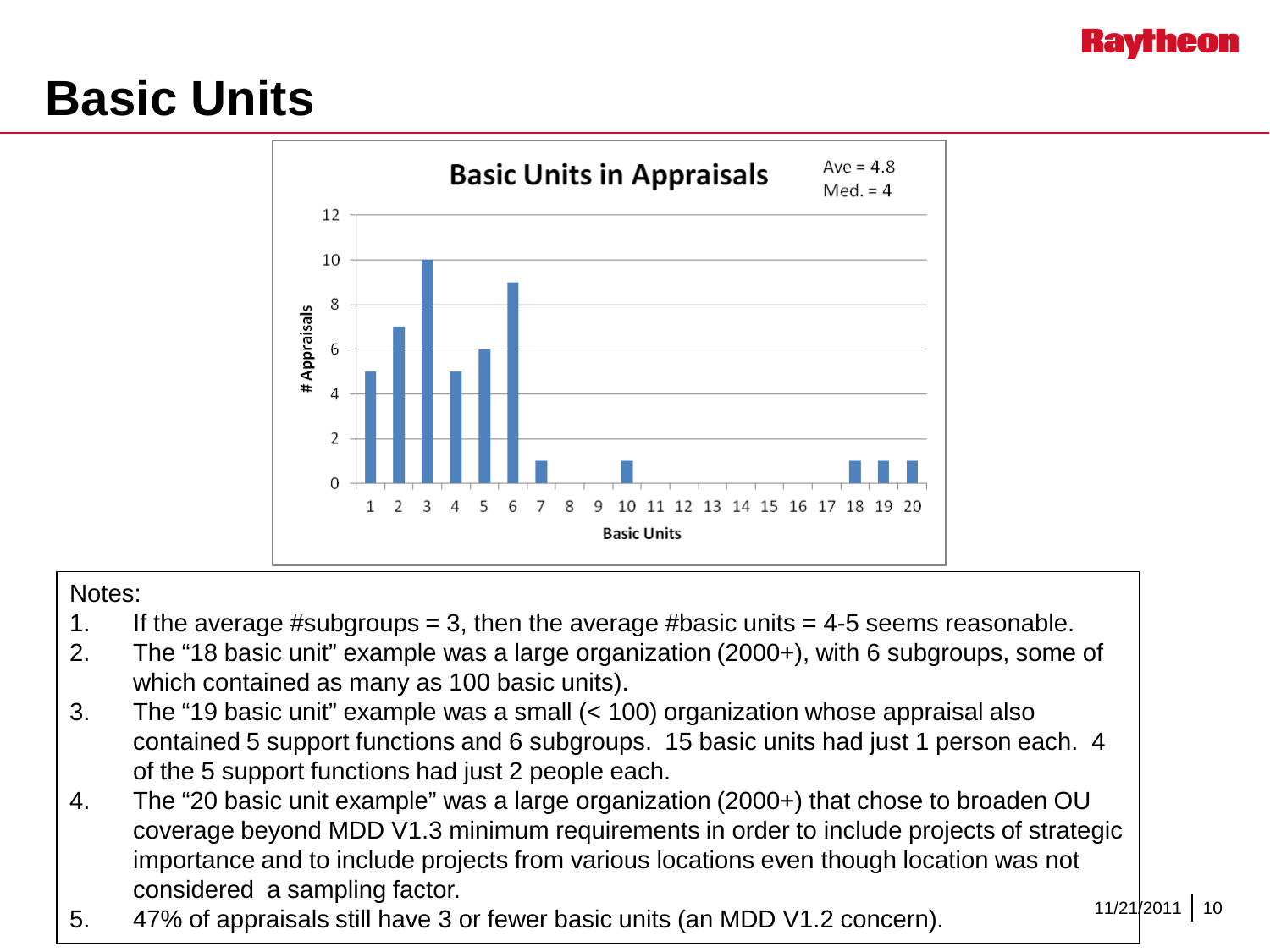### **Basic Units**



#### Notes:

- 1. If the average #subgroups = 3, then the average #basic units =  $4-5$  seems reasonable.
- 2. The "18 basic unit" example was a large organization (2000+), with 6 subgroups, some of which contained as many as 100 basic units).
- 3. The "19 basic unit" example was a small (< 100) organization whose appraisal also contained 5 support functions and 6 subgroups. 15 basic units had just 1 person each. 4 of the 5 support functions had just 2 people each.
- 4. The "20 basic unit example" was a large organization (2000+) that chose to broaden OU coverage beyond MDD V1.3 minimum requirements in order to include projects of strategic importance and to include projects from various locations even though location was not considered a sampling factor.
- 5. 47% of appraisals still have 3 or fewer basic units (an MDD V1.2 concern).

11/21/2011 10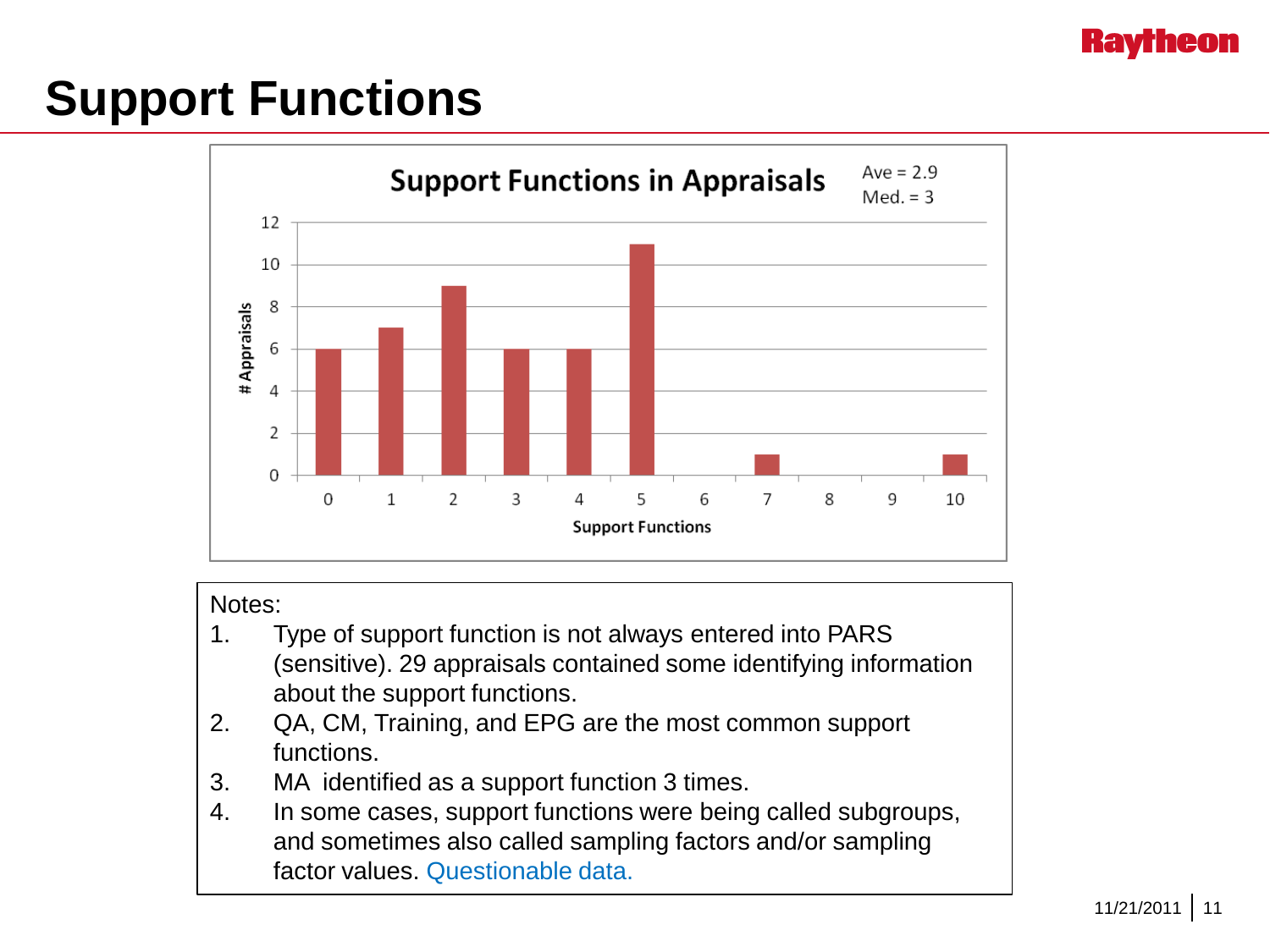#### **Hav**

# **Support Functions**



#### Notes:

- 1. Type of support function is not always entered into PARS (sensitive). 29 appraisals contained some identifying information about the support functions.
- 2. QA, CM, Training, and EPG are the most common support functions.
- 3. MA identified as a support function 3 times.
- 4. In some cases, support functions were being called subgroups, and sometimes also called sampling factors and/or sampling factor values. Questionable data.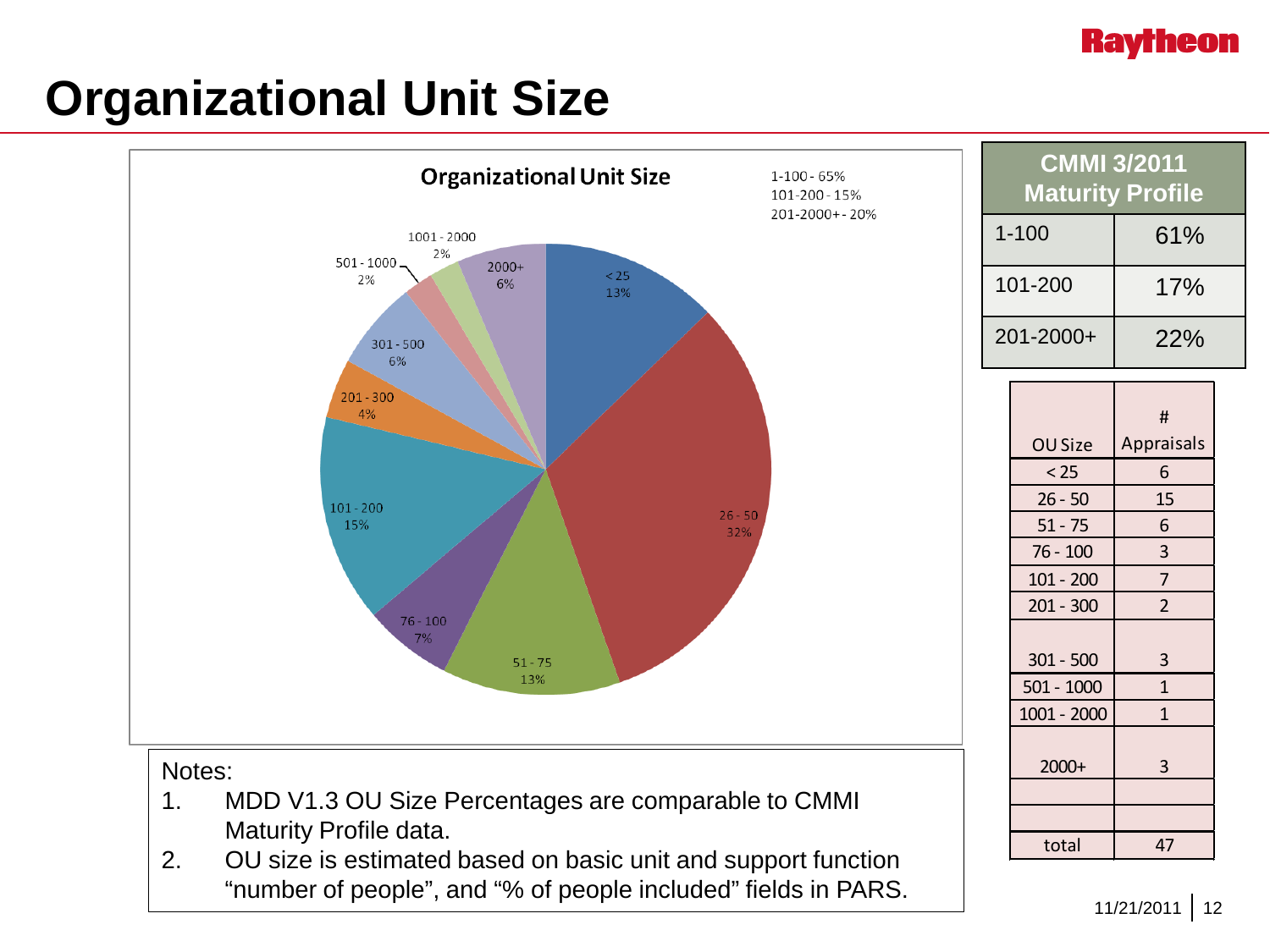#### **Ravrheon**

## **Organizational Unit Size**

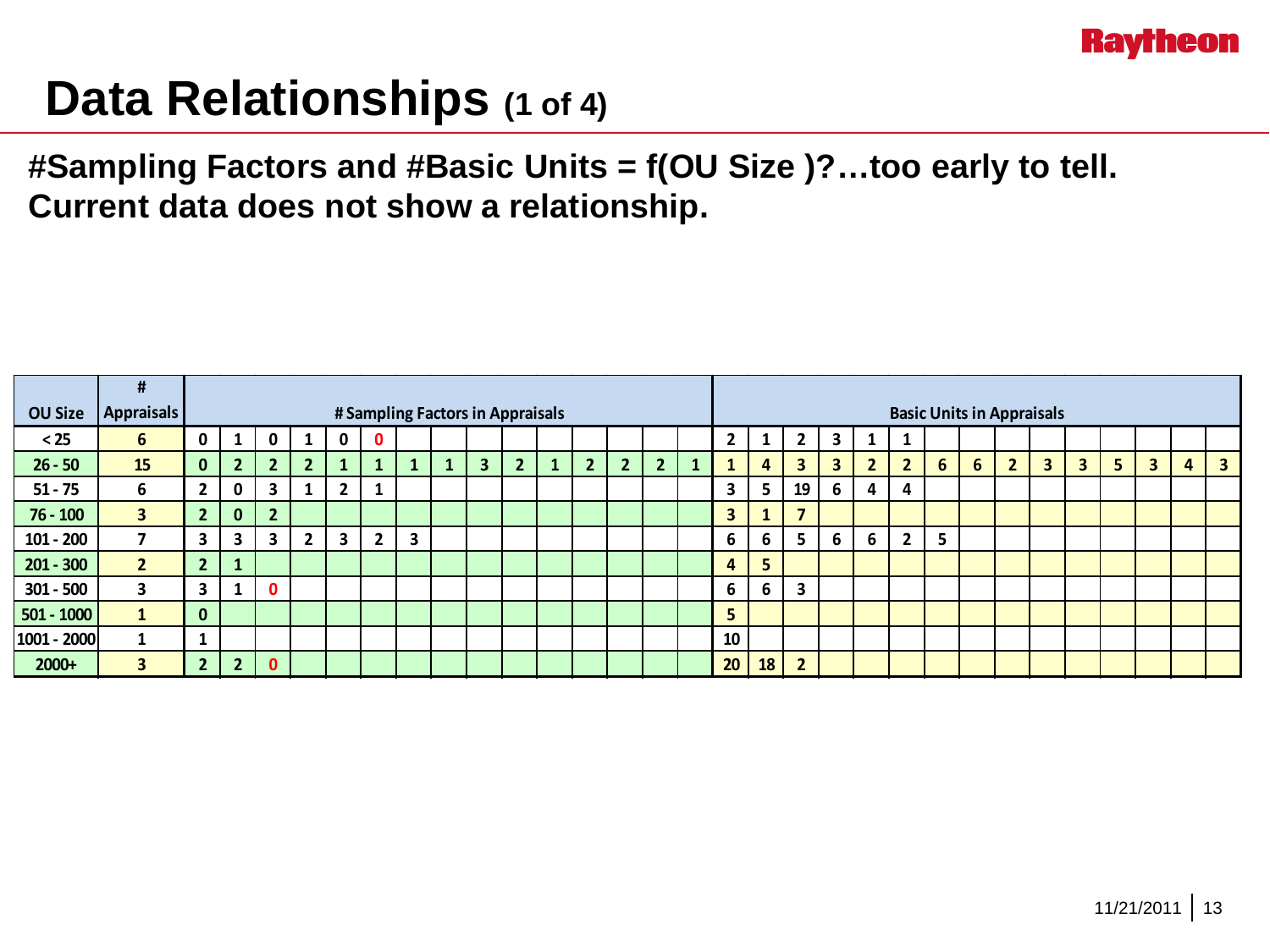

### **Data Relationships (1 of 4)**

**#Sampling Factors and #Basic Units = f(OU Size )?…too early to tell. Current data does not show a relationship.**

|                | #                       |                                  |                |                |                |                |                |                         |  |                         |                                  |  |              |                |                |  |    |    |                |                         |                |                |   |   |              |              |                         |   |                         |   |                         |
|----------------|-------------------------|----------------------------------|----------------|----------------|----------------|----------------|----------------|-------------------------|--|-------------------------|----------------------------------|--|--------------|----------------|----------------|--|----|----|----------------|-------------------------|----------------|----------------|---|---|--------------|--------------|-------------------------|---|-------------------------|---|-------------------------|
| <b>OU Size</b> | <b>Appraisals</b>       | # Sampling Factors in Appraisals |                |                |                |                |                |                         |  |                         | <b>Basic Units in Appraisals</b> |  |              |                |                |  |    |    |                |                         |                |                |   |   |              |              |                         |   |                         |   |                         |
| $25$           | 6                       | 0                                |                | 0              |                | 0              | $\mathbf 0$    |                         |  |                         |                                  |  |              |                |                |  | י  |    | $\mathbf{2}$   | 3                       | 1              | 1              |   |   |              |              |                         |   |                         |   |                         |
| $26 - 50$      | 15                      | $\mathbf{0}$                     | $\overline{2}$ | 2 <sup>1</sup> | $\overline{2}$ |                | 1              |                         |  | $\overline{\mathbf{3}}$ | 2 <sup>1</sup>                   |  | $\mathbf{2}$ | $\overline{2}$ | $\overline{2}$ |  |    | 4  | 3 <sup>1</sup> | $\overline{\mathbf{3}}$ | $\overline{2}$ | $\overline{2}$ | 6 | 6 | $\mathbf{2}$ | $\mathbf{3}$ | $\overline{\mathbf{3}}$ | 5 | $\overline{\mathbf{3}}$ | 4 | $\overline{\mathbf{3}}$ |
| $51 - 75$      | 6                       | $\overline{2}$                   | 0              | 3              |                | $\overline{2}$ | $\mathbf{1}$   |                         |  |                         |                                  |  |              |                |                |  | 3  | 5. | 19             | 6                       | 4              | 4              |   |   |              |              |                         |   |                         |   |                         |
| $76 - 100$     | $\overline{\mathbf{3}}$ | $\overline{\phantom{a}}$         | $\bf{0}$       | $\overline{2}$ |                |                |                |                         |  |                         |                                  |  |              |                |                |  | 3  |    | $\overline{7}$ |                         |                |                |   |   |              |              |                         |   |                         |   |                         |
| $101 - 200$    |                         | 3                                | 3              | 3              | $\overline{2}$ | 3              | $\overline{2}$ | $\overline{\mathbf{3}}$ |  |                         |                                  |  |              |                |                |  | 6  | 6  | 5.             | 6                       | 6              | $\overline{2}$ | 5 |   |              |              |                         |   |                         |   |                         |
| $201 - 300$    | $\overline{2}$          | $\overline{2}$                   |                |                |                |                |                |                         |  |                         |                                  |  |              |                |                |  | 4  | 5  |                |                         |                |                |   |   |              |              |                         |   |                         |   |                         |
| $301 - 500$    | 3                       | 3                                |                | $\mathbf{0}$   |                |                |                |                         |  |                         |                                  |  |              |                |                |  | 6  | 6  | 3              |                         |                |                |   |   |              |              |                         |   |                         |   |                         |
| 501 - 1000     |                         | $\mathbf{0}$                     |                |                |                |                |                |                         |  |                         |                                  |  |              |                |                |  | 5  |    |                |                         |                |                |   |   |              |              |                         |   |                         |   |                         |
| 1001 - 2000    |                         |                                  |                |                |                |                |                |                         |  |                         |                                  |  |              |                |                |  | 10 |    |                |                         |                |                |   |   |              |              |                         |   |                         |   |                         |
| $2000+$        | $\mathbf{3}$            | ÷                                | າ              | 0              |                |                |                |                         |  |                         |                                  |  |              |                |                |  | 20 | 18 | $\overline{2}$ |                         |                |                |   |   |              |              |                         |   |                         |   |                         |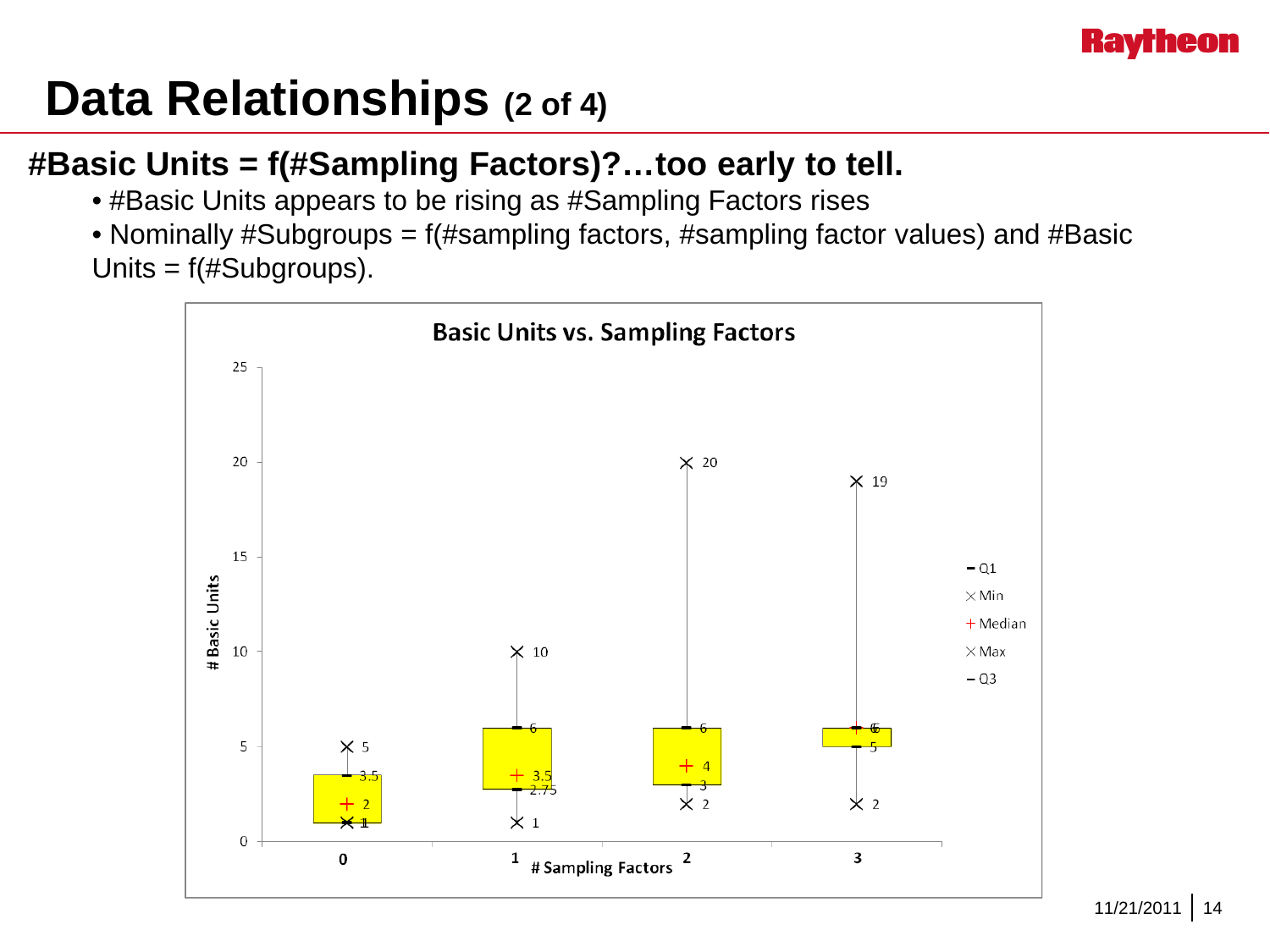

### **Data Relationships (2 of 4)**

#### **#Basic Units = f(#Sampling Factors)?…too early to tell.**

- #Basic Units appears to be rising as #Sampling Factors rises
- Nominally #Subgroups = f(#sampling factors, #sampling factor values) and #Basic Units = f(#Subgroups).

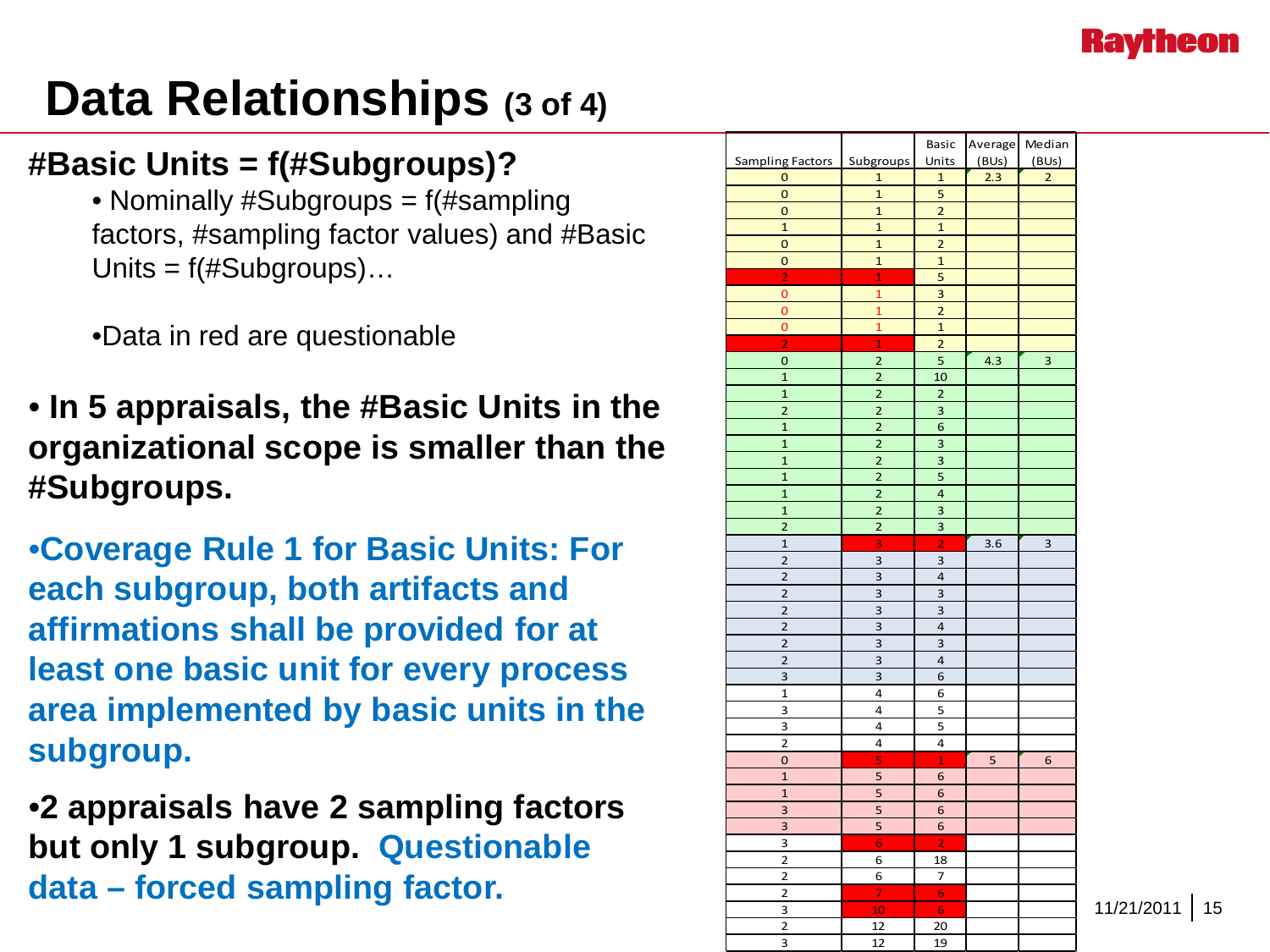

### **Data Relationships (3 of 4)**

#### **#Basic Units = f(#Subgroups)?**

• Nominally #Subgroups = f(#sampling factors, #sampling factor values) and #Basic Units = f(#Subgroups)…

•Data in red are questionable

- **In 5 appraisals, the #Basic Units in the organizational scope is smaller than the #Subgroups.**
- •**Coverage Rule 1 for Basic Units: For each subgroup, both artifacts and affirmations shall be provided for at least one basic unit for every process area implemented by basic units in the subgroup.**

•**2 appraisals have 2 sampling factors but only 1 subgroup. Questionable data – forced sampling factor.**

|                         |                         | Basic                   | Average Median |                |
|-------------------------|-------------------------|-------------------------|----------------|----------------|
| <b>Sampling Factors</b> | Subgroups               | Units                   | (BUs)          | (BUs)          |
| $\overline{0}$          | $\mathbf{1}$            | 1                       | 2.3            | $\overline{2}$ |
| $\mathbf 0$             | $\mathbf{1}$            | 5                       |                |                |
| $\mathbf 0$             | $\mathbf{1}$            | $\overline{2}$          |                |                |
| $\mathbf{1}$            | $\mathbf{1}$            | $\mathbf{1}$            |                |                |
| 0                       | $\mathbf{1}$            | $\overline{2}$          |                |                |
| $\mathbf 0$             | $\mathbf{1}$            | $\mathbf{1}$            |                |                |
| $\overline{2}$          | $\mathbf{1}$            | 5                       |                |                |
| $\overline{0}$          | $\mathbf{1}$            | 3                       |                |                |
| $\mathbf 0$             | $\mathbf{1}$            | $\overline{2}$          |                |                |
| $\mathbf 0$             | $\overline{1}$          | $\overline{1}$          |                |                |
| $\overline{2}$          | $\overline{1}$          | $\overline{a}$          |                |                |
| 0                       | $\overline{\mathbf{c}}$ | 5                       | 4.3            | $\overline{3}$ |
| $\overline{1}$          | $\overline{2}$          | 10                      |                |                |
| $\mathbf{1}$            | $\overline{2}$          | $\overline{2}$          |                |                |
| $\overline{2}$          | $\overline{\mathbf{c}}$ | 3                       |                |                |
| $\overline{1}$          | $\overline{\mathbf{c}}$ | 6                       |                |                |
| $\overline{1}$          | $\overline{\mathbf{c}}$ | 3                       |                |                |
| $\mathbf{1}$            | $\overline{2}$          | 3                       |                |                |
| $\mathbf{1}$            | $\overline{2}$          | 5                       |                |                |
| $\overline{1}$          | $\overline{2}$          | $\overline{\mathbf{4}}$ |                |                |
| $\overline{1}$          | $\overline{2}$          | 3                       |                |                |
| $\overline{2}$          | $\overline{2}$          | 3                       |                |                |
| $\mathbf{1}$            | 3                       | $\overline{2}$          | 3.6            | 3              |
| $\overline{2}$          | 3                       | 3                       |                |                |
| $\overline{2}$          | 3                       | 4                       |                |                |
| 2                       | 3                       | 3                       |                |                |
| $\overline{2}$          | 3                       | 3                       |                |                |
| $\overline{\mathbf{c}}$ | 3                       | 4                       |                |                |
| $\overline{2}$          | 3                       | 3                       |                |                |
| $\overline{\mathbf{c}}$ | 3                       | $\overline{\mathbf{4}}$ |                |                |
| 3                       | 3                       | 6                       |                |                |
| $\mathbf{1}$            | 4                       | 6                       |                |                |
| 3                       | 4                       | 5                       |                |                |
| 3                       | 4                       | 5                       |                |                |
| $\overline{\mathbf{c}}$ | 4                       | 4                       |                |                |
| $\mathbf 0$             | 5                       | $\mathbf{1}$            | 5              | 6              |
| $\mathbf{1}$            | 5                       | 6                       |                |                |
| $\overline{1}$          | 5                       | 6                       |                |                |
| 3                       | 5                       | 6                       |                |                |
| 3                       | 5                       | 6                       |                |                |
| 3                       | 6                       | $\overline{2}$          |                |                |
| $\overline{2}$          | 6                       | 18                      |                |                |
| 2                       | 6                       | 7                       |                |                |
| $\overline{2}$          | $\overline{7}$          | $\overline{6}$          |                |                |
| 3                       | 10                      | 6                       |                |                |
| 2                       | 12                      | 20                      |                |                |
| 3                       | 12                      | 19                      |                |                |

11/21/2011 15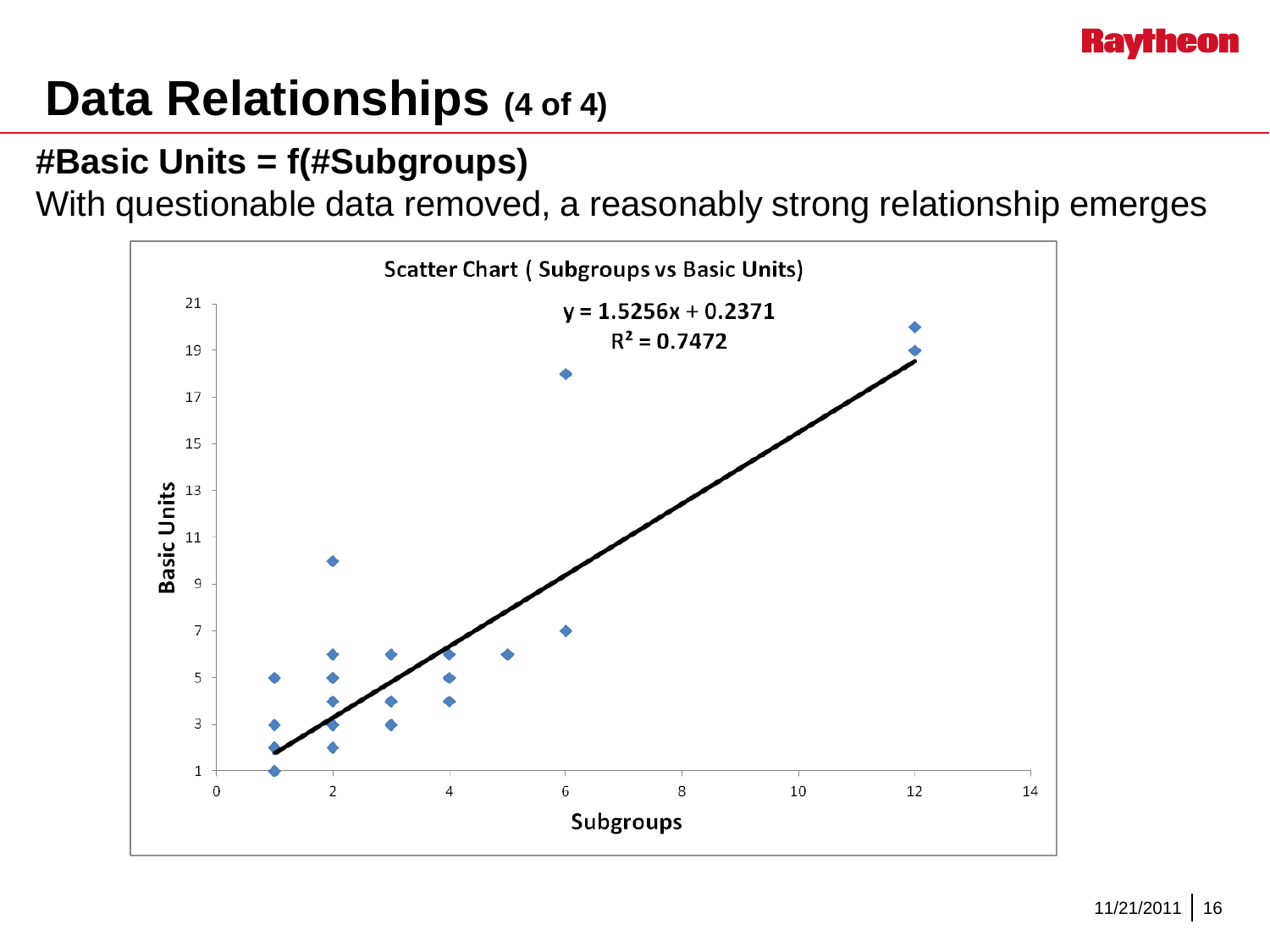

### **Data Relationships (4 of 4)**

#### **#Basic Units = f(#Subgroups)**

With questionable data removed, a reasonably strong relationship emerges

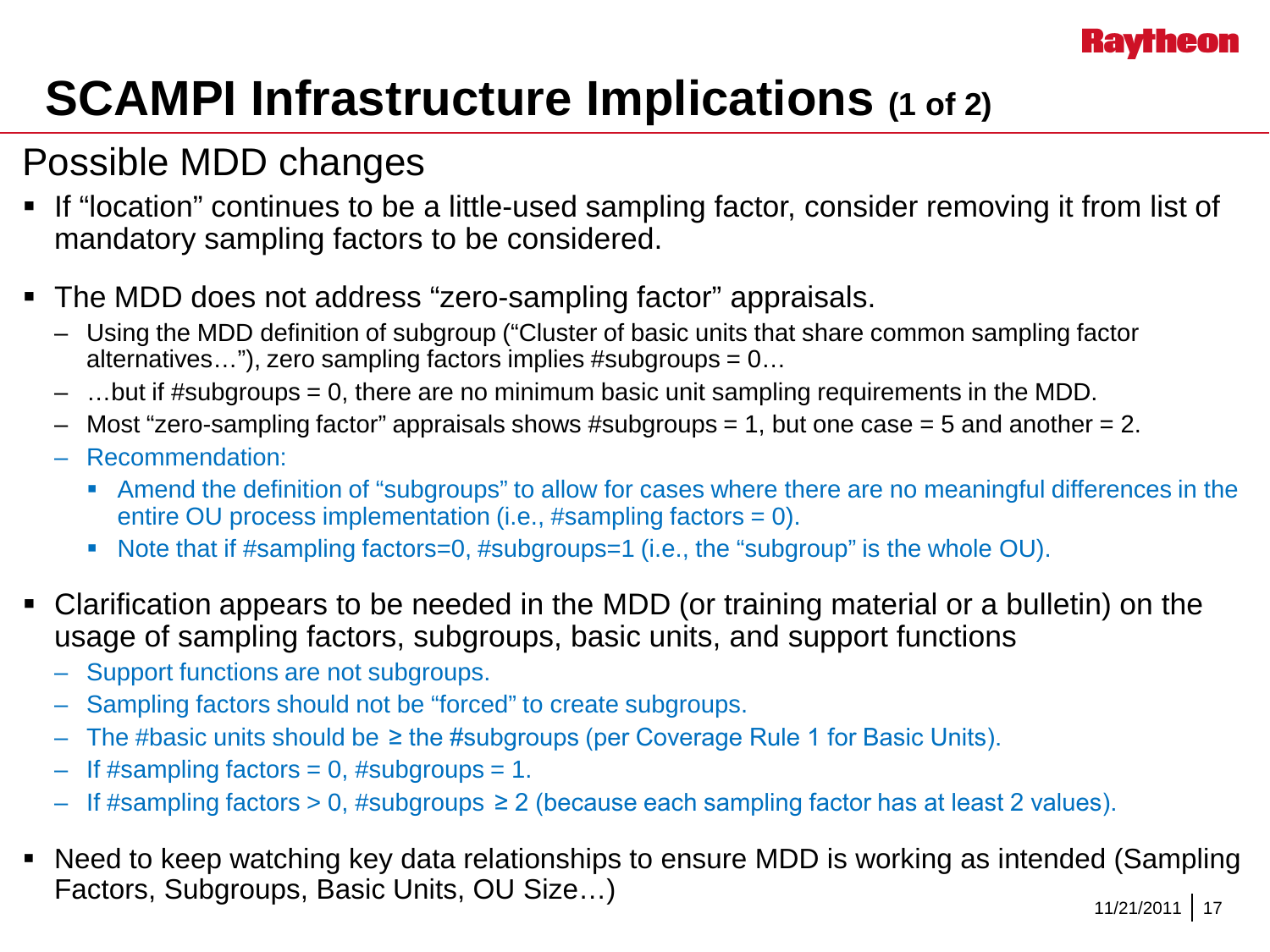# **SCAMPI Infrastructure Implications (1 of 2)**

#### Possible MDD changes

- If "location" continues to be a little-used sampling factor, consider removing it from list of mandatory sampling factors to be considered.
- The MDD does not address "zero-sampling factor" appraisals.
	- Using the MDD definition of subgroup ("Cluster of basic units that share common sampling factor alternatives…"), zero sampling factors implies #subgroups = 0…
	- …but if #subgroups = 0, there are no minimum basic unit sampling requirements in the MDD.
	- Most "zero-sampling factor" appraisals shows #subgroups = 1, but one case = 5 and another = 2.
	- Recommendation:
		- Amend the definition of "subgroups" to allow for cases where there are no meaningful differences in the entire OU process implementation (i.e., #sampling factors = 0).
		- Note that if #sampling factors=0, #subgroups=1 (i.e., the "subgroup" is the whole OU).
- Clarification appears to be needed in the MDD (or training material or a bulletin) on the usage of sampling factors, subgroups, basic units, and support functions
	- Support functions are not subgroups.
	- Sampling factors should not be "forced" to create subgroups.
	- The #basic units should be  $\geq$  the #subgroups (per Coverage Rule 1 for Basic Units).
	- $-$  If #sampling factors = 0, #subgroups = 1.
	- $-$  If #sampling factors > 0, #subgroups ≥ 2 (because each sampling factor has at least 2 values).
- Need to keep watching key data relationships to ensure MDD is working as intended (Sampling Factors, Subgroups, Basic Units, OU Size...) 11/21/2011 17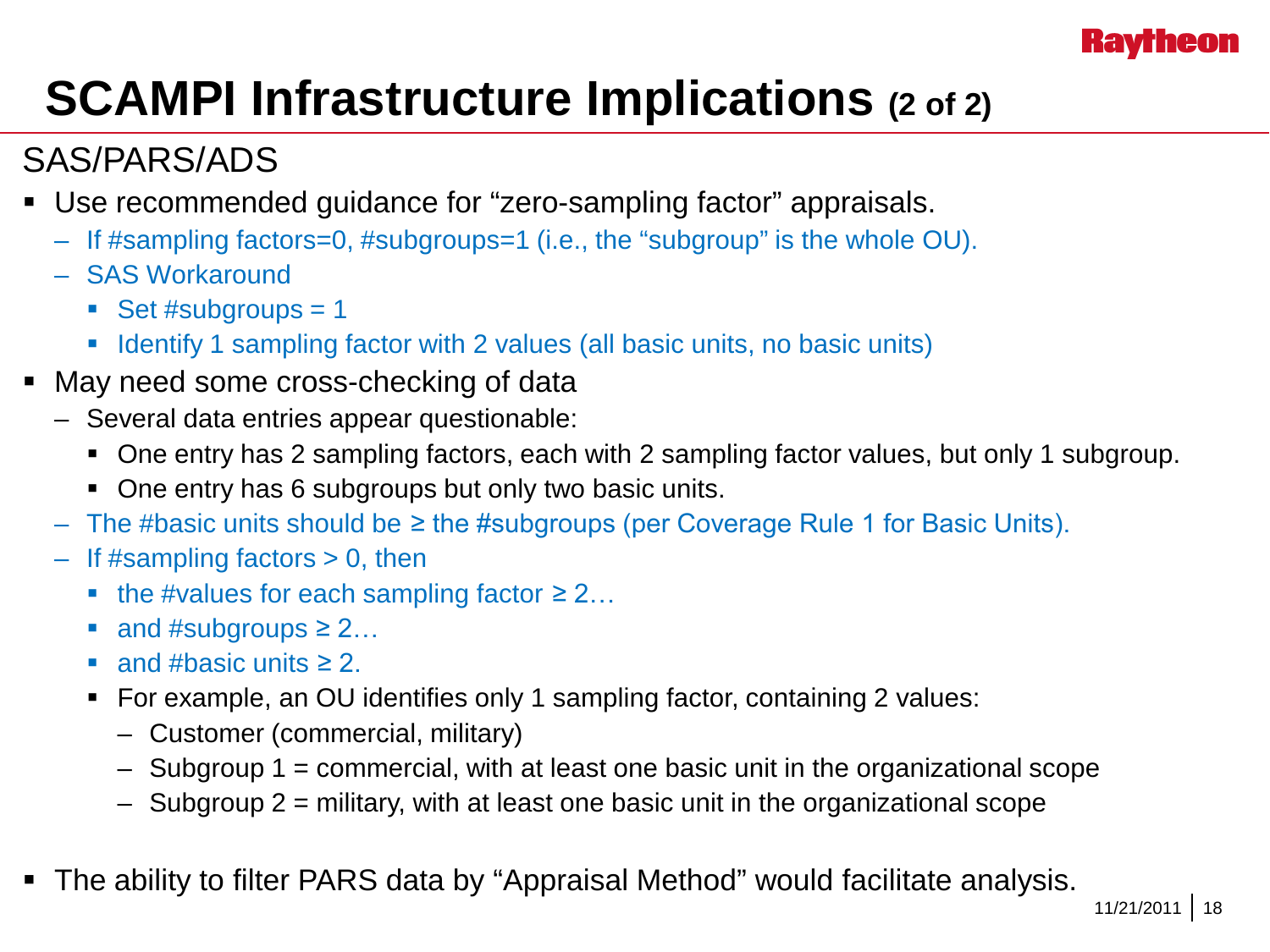# **SCAMPI Infrastructure Implications (2 of 2)**

#### SAS/PARS/ADS

- Use recommended guidance for "zero-sampling factor" appraisals.
	- If #sampling factors=0, #subgroups=1 (i.e., the "subgroup" is the whole OU).
	- SAS Workaround
		- Set #subgroups  $= 1$
		- I Identify 1 sampling factor with 2 values (all basic units, no basic units)
- May need some cross-checking of data
	- Several data entries appear questionable:
		- One entry has 2 sampling factors, each with 2 sampling factor values, but only 1 subgroup.
		- One entry has 6 subgroups but only two basic units.
	- The #basic units should be ≥ the #subgroups (per Coverage Rule 1 for Basic Units).
	- If #sampling factors > 0, then
		- the #values for each sampling factor  $\geq 2...$
		- $\blacksquare$  and #subgroups  $\geq 2...$
		- and #basic units  $\geq 2$ .
		- For example, an OU identifies only 1 sampling factor, containing 2 values:
			- Customer (commercial, military)
			- $-$  Subgroup 1 = commercial, with at least one basic unit in the organizational scope
			- $-$  Subgroup 2 = military, with at least one basic unit in the organizational scope
- The ability to filter PARS data by "Appraisal Method" would facilitate analysis.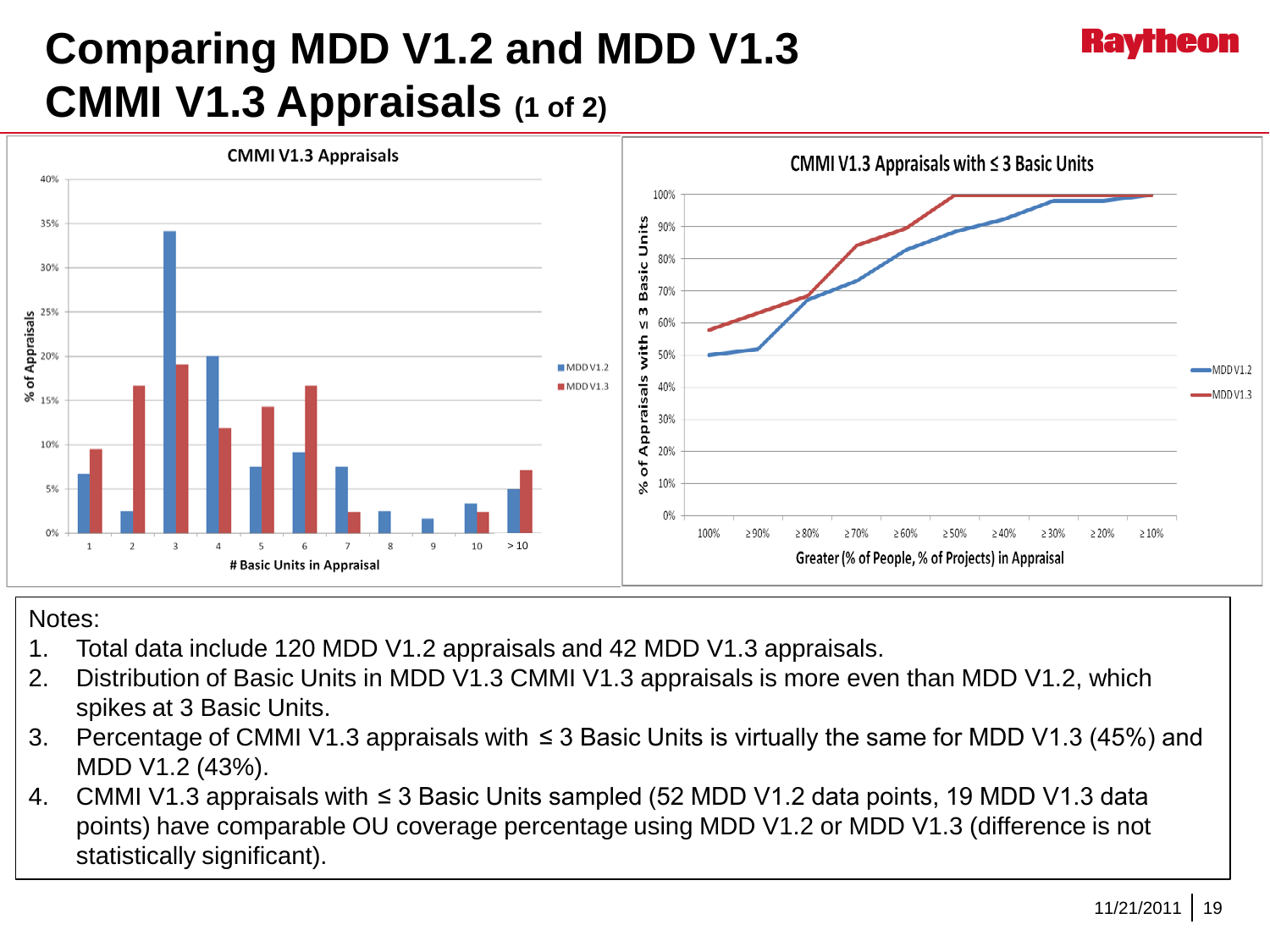### **Comparing MDD V1.2 and MDD V1.3 CMMI V1.3 Appraisals (1 of 2)**



#### Notes:

- 1. Total data include 120 MDD V1.2 appraisals and 42 MDD V1.3 appraisals.
- 2. Distribution of Basic Units in MDD V1.3 CMMI V1.3 appraisals is more even than MDD V1.2, which spikes at 3 Basic Units.
- 3. Percentage of CMMI V1.3 appraisals with ≤ 3 Basic Units is virtually the same for MDD V1.3 (45%) and MDD V1.2 (43%).
- 4. CMMI V1.3 appraisals with ≤ 3 Basic Units sampled (52 MDD V1.2 data points, 19 MDD V1.3 data points) have comparable OU coverage percentage using MDD V1.2 or MDD V1.3 (difference is not statistically significant).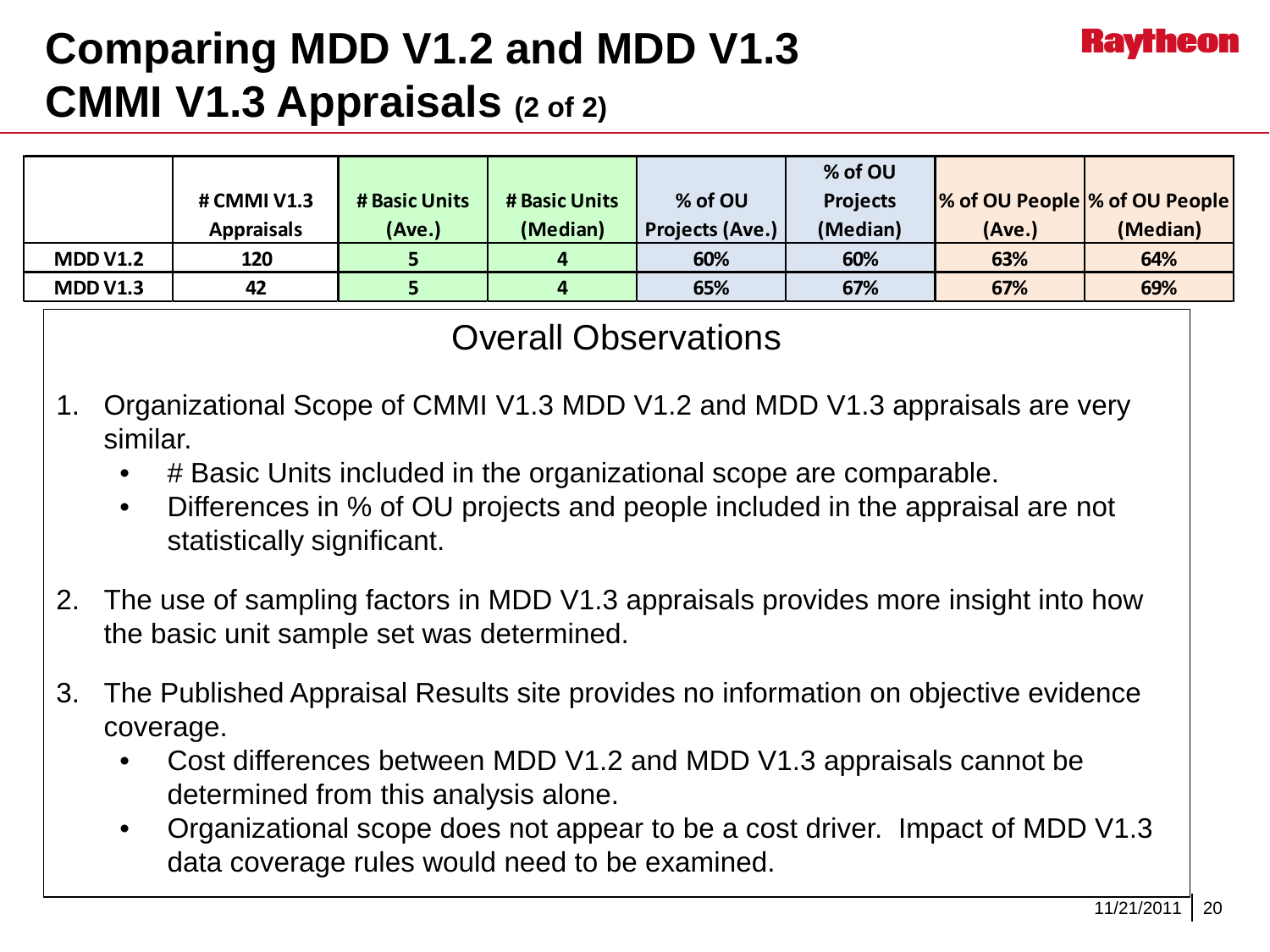#### **Comparing MDD V1.2 and MDD V1.3 CMMI V1.3 Appraisals (2 of 2)**

|                 |                   |               |               |                        | % of OU         |                               |          |
|-----------------|-------------------|---------------|---------------|------------------------|-----------------|-------------------------------|----------|
|                 | # CMMI V1.3       | # Basic Units | # Basic Units | % of OU                | <b>Projects</b> | % of OU People % of OU People |          |
|                 | <b>Appraisals</b> | (Ave.)        | (Median)      | <b>Projects (Ave.)</b> | (Median)        | (Ave.)                        | (Median) |
| <b>MDD V1.2</b> | 120               |               | $\mathbf{a}$  | 60%                    | 60%             | 63%                           | 64%      |
| <b>MDD V1.3</b> | 42                |               | 4             | 65%                    | 67%             | 67%                           | 69%      |

#### Overall Observations

- 1. Organizational Scope of CMMI V1.3 MDD V1.2 and MDD V1.3 appraisals are very similar.
	- # Basic Units included in the organizational scope are comparable.
	- Differences in % of OU projects and people included in the appraisal are not statistically significant.
- 2. The use of sampling factors in MDD V1.3 appraisals provides more insight into how the basic unit sample set was determined.
- 3. The Published Appraisal Results site provides no information on objective evidence coverage.
	- Cost differences between MDD V1.2 and MDD V1.3 appraisals cannot be determined from this analysis alone.
	- Organizational scope does not appear to be a cost driver. Impact of MDD V1.3 data coverage rules would need to be examined.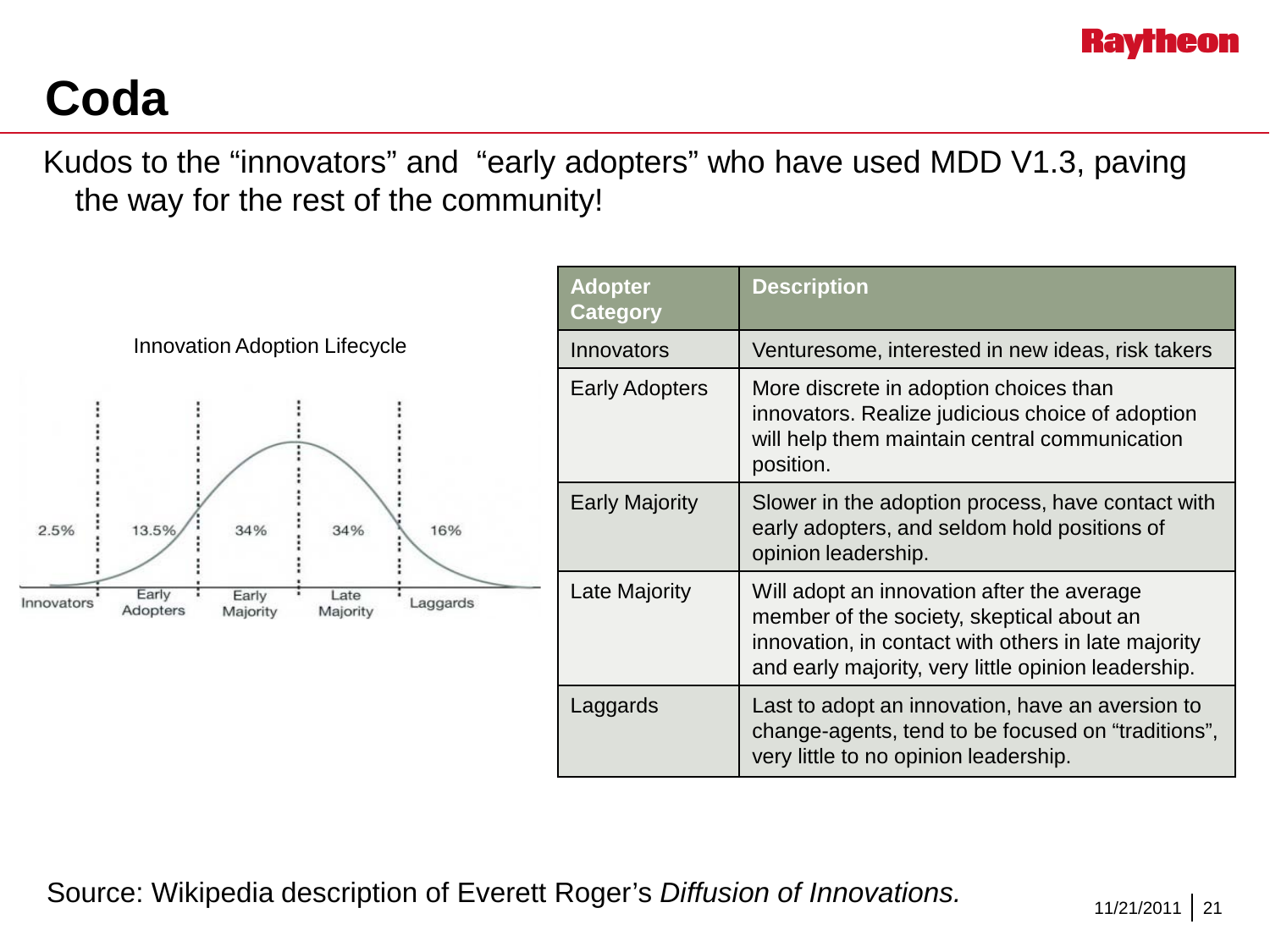

### **Coda**

Kudos to the "innovators" and "early adopters" who have used MDD V1.3, paving the way for the rest of the community!



Source: Wikipedia description of Everett Roger's *Diffusion of Innovations.*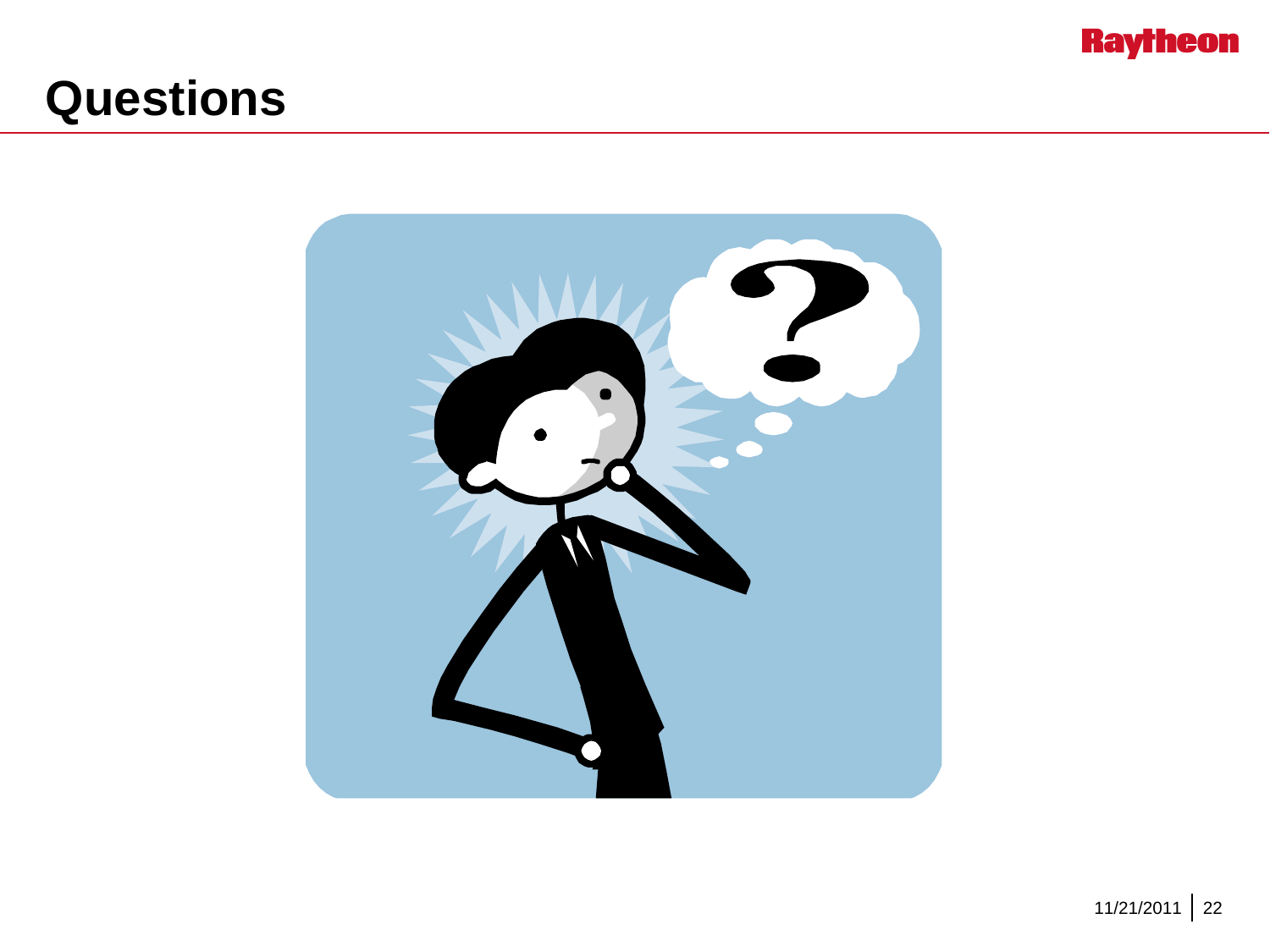

### **Questions**

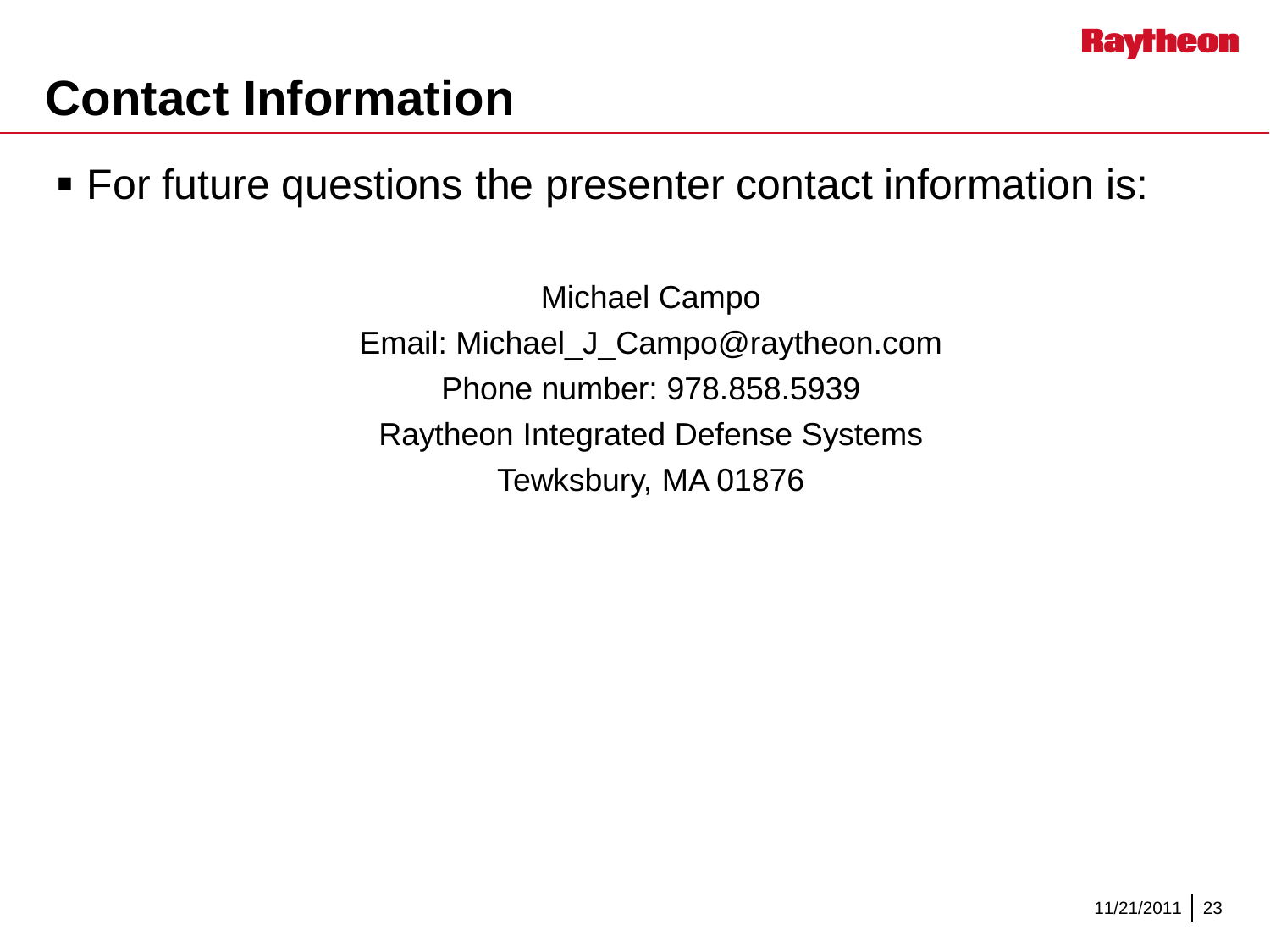

### **Contact Information**

For future questions the presenter contact information is:

Michael Campo Email: Michael\_J\_Campo@raytheon.com Phone number: 978.858.5939 Raytheon Integrated Defense Systems Tewksbury, MA 01876